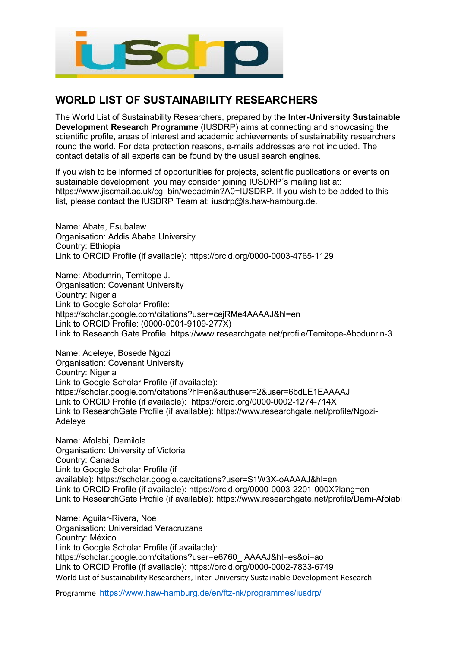

## **WORLD LIST OF SUSTAINABILITY RESEARCHERS**

The World List of Sustainability Researchers, prepared by the **Inter-University Sustainable Development Research Programme** (IUSDRP) aims at connecting and showcasing the scientific profile, areas of interest and academic achievements of sustainability researchers round the world. For data protection reasons, e-mails addresses are not included. The contact details of all experts can be found by the usual search engines.

If you wish to be informed of opportunities for projects, scientific publications or events on sustainable development you may consider joining IUSDRP´s mailing list at: [https://www.jiscmail.ac.uk/cgi-bin/webadmin?A0=IUSDRP.](https://www.jiscmail.ac.uk/cgi-bin/webadmin?A0=IUSDRP) If you wish to be added to this list, please contact the IUSDRP Team at: [iusdrp@ls.haw-hamburg.de.](mailto:iusdrp@ls.haw-hamburg.de)

Name: Abate, Esubalew Organisation: Addis Ababa University Country: Ethiopia Link to ORCID Profile (if available): https://orcid.org/0000-0003-4765-1129

Name: Abodunrin, Temitope J. Organisation: Covenant University Country: Nigeria Link to Google Scholar Profile: https://scholar.google.com/citations?user=cejRMe4AAAAJ&hl=en Link to ORCID Profile: (0000-0001-9109-277X) Link to Research Gate Profile: https://www.researchgate.net/profile/Temitope-Abodunrin-3

Name: Adeleye, Bosede Ngozi Organisation: Covenant University Country: Nigeria Link to Google Scholar Profile (if available): https://scholar.google.com/citations?hl=en&authuser=2&user=6bdLE1EAAAAJ Link to ORCID Profile (if available): https://orcid.org/0000-0002-1274-714X Link to ResearchGate Profile (if available): https://www.researchgate.net/profile/Ngozi-Adeleye

Name: Afolabi, Damilola Organisation: University of Victoria Country: Canada Link to Google Scholar Profile (if available): <https://scholar.google.ca/citations?user=S1W3X-oAAAAJ&hl=en> Link to ORCID Profile (if available): <https://orcid.org/0000-0003-2201-000X?lang=en> Link to ResearchGate Profile (if available): <https://www.researchgate.net/profile/Dami-Afolabi>

World List of Sustainability Researchers, Inter-University Sustainable Development Research Name: Aguilar-Rivera, Noe Organisation: Universidad Veracruzana Country: México Link to Google Scholar Profile (if available): https://scholar.google.com/citations?user=e6760\_IAAAAJ&hl=es&oi=ao Link to ORCID Profile (if available): https://orcid.org/0000-0002-7833-6749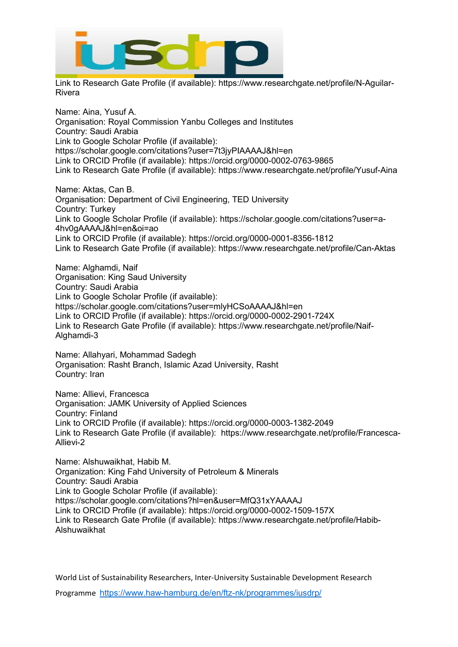

Link to Research Gate Profile (if available): https://www.researchgate.net/profile/N-Aguilar-Rivera

Name: Aina, Yusuf A. Organisation: Royal Commission Yanbu Colleges and Institutes Country: Saudi Arabia Link to Google Scholar Profile (if available): https://scholar.google.com/citations?user=7t3jyPIAAAAJ&hl=en Link to ORCID Profile (if available): https://orcid.org/0000-0002-0763-9865 Link to Research Gate Profile (if available): https://www.researchgate.net/profile/Yusuf-Aina

Name: Aktas, Can B. Organisation: Department of Civil Engineering, TED University Country: Turkey Link to Google Scholar Profile (if available): https://scholar.google.com/citations?user=a-4hv0gAAAAJ&hl=en&oi=ao Link to ORCID Profile (if available): https://orcid.org/0000-0001-8356-1812 Link to Research Gate Profile (if available): https://www.researchgate.net/profile/Can-Aktas

Name: Alghamdi, Naif Organisation: King Saud University Country: Saudi Arabia Link to Google Scholar Profile (if available): https://scholar.google.com/citations?user=mlyHCSoAAAAJ&hl=en Link to ORCID Profile (if available): https://orcid.org/0000-0002-2901-724X Link to Research Gate Profile (if available): https://www.researchgate.net/profile/Naif-Alghamdi-3

Name: Allahyari, Mohammad Sadegh Organisation: Rasht Branch, Islamic Azad University, Rasht Country: Iran

Name: Allievi, Francesca Organisation: JAMK University of Applied Sciences Country: Finland Link to ORCID Profile (if available): https://orcid.org/0000-0003-1382-2049 Link to Research Gate Profile (if available): https://www.researchgate.net/profile/Francesca-Allievi-2

Name: Alshuwaikhat, Habib M. Organization: King Fahd University of Petroleum & Minerals Country: Saudi Arabia Link to Google Scholar Profile (if available): https://scholar.google.com/citations?hl=en&user=MfQ31xYAAAAJ Link to ORCID Profile (if available): https://orcid.org/0000-0002-1509-157X Link to Research Gate Profile (if available): [https://www.researchgate.net/profile/Habib-](https://www.researchgate.net/profile/Habib-Alshuwaikhat)[Alshuwaikhat](https://www.researchgate.net/profile/Habib-Alshuwaikhat)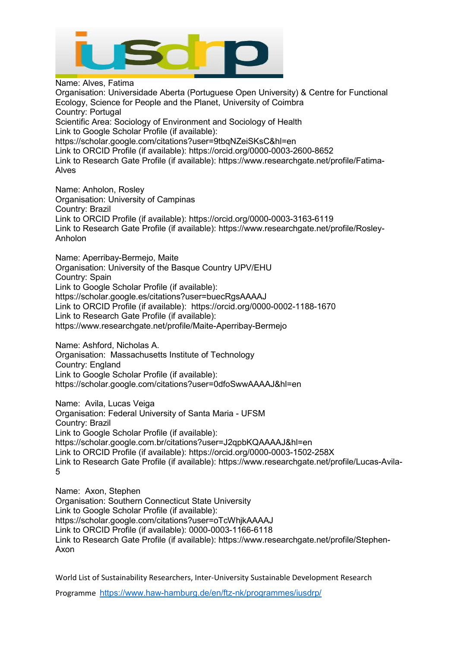

Name: Alves, Fatima Organisation: Universidade Aberta (Portuguese Open University) & Centre for Functional Ecology, Science for People and the Planet, University of Coimbra Country: Portugal Scientific Area: Sociology of Environment and Sociology of Health Link to Google Scholar Profile (if available): https://scholar.google.com/citations?user=9tbqNZeiSKsC&hl=en Link to ORCID Profile (if available): https://orcid.org/0000-0003-2600-8652 Link to Research Gate Profile (if available): https://www.researchgate.net/profile/Fatima-Alves

Name: Anholon, Rosley Organisation: University of Campinas Country: Brazil Link to ORCID Profile (if available): https://orcid.org/0000-0003-3163-6119 Link to Research Gate Profile (if available): https://www.researchgate.net/profile/Rosley-Anholon

Name: Aperribay-Bermejo, Maite Organisation: University of the Basque Country UPV/EHU Country: Spain Link to Google Scholar Profile (if available): https://scholar.google.es/citations?user=buecRgsAAAAJ Link to ORCID Profile (if available): https://orcid.org/0000-0002-1188-1670 Link to Research Gate Profile (if available): https://www.researchgate.net/profile/Maite-Aperribay-Bermejo

Name: Ashford, Nicholas A.

Organisation: Massachusetts Institute of Technology Country: England Link to Google Scholar Profile (if available): https://scholar.google.com/citations?user=0dfoSwwAAAAJ&hl=en

Name: Avila, Lucas Veiga Organisation: Federal University of Santa Maria - UFSM Country: Brazil Link to Google Scholar Profile (if available): https://scholar.google.com.br/citations?user=J2qpbKQAAAAJ&hl=en Link to ORCID Profile (if available): https://orcid.org/0000-0003-1502-258X Link to Research Gate Profile (if available): https://www.researchgate.net/profile/Lucas-Avila-5

Name: Axon, Stephen Organisation: Southern Connecticut State University Link to Google Scholar Profile (if available): https://scholar.google.com/citations?user=oTcWhjkAAAAJ Link to ORCID Profile (if available): 0000-0003-1166-6118 Link to Research Gate Profile (if available): https://www.researchgate.net/profile/Stephen-Axon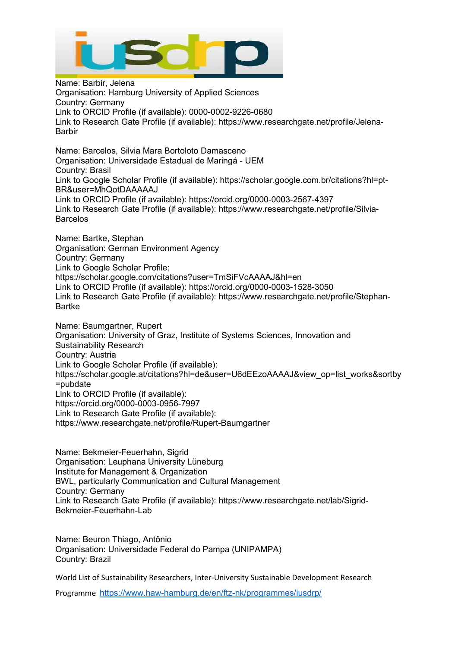

Name: Barbir, Jelena Organisation: Hamburg University of Applied Sciences Country: Germany Link to ORCID Profile (if available): 0000-0002-9226-0680 Link to Research Gate Profile (if available): https://www.researchgate.net/profile/Jelena-Barbir Name: Barcelos, Silvia Mara Bortoloto Damasceno Organisation: Universidade Estadual de Maringá - UEM Country: Brasil Link to Google Scholar Profile (if available): https://scholar.google.com.br/citations?hl=pt-BR&user=MhQotDAAAAAJ Link to ORCID Profile (if available): https://orcid.org/0000-0003-2567-4397 Link to Research Gate Profile (if available): https://www.researchgate.net/profile/Silvia-Barcelos Name: Bartke, Stephan Organisation: German Environment Agency Country: Germany Link to Google Scholar Profile: https://scholar.google.com/citations?user=TmSiFVcAAAAJ&hl=en Link to ORCID Profile (if available): https://orcid.org/0000-0003-1528-3050 Link to Research Gate Profile (if available): [https://www.researchgate.net/profile/Stephan-](https://www.researchgate.net/profile/Stephan-Bartke)[Bartke](https://www.researchgate.net/profile/Stephan-Bartke) Name: Baumgartner, Rupert Organisation: University of Graz, Institute of Systems Sciences, Innovation and Sustainability Research Country: Austria Link to Google Scholar Profile (if available): [https://scholar.google.at/citations?hl=de&user=U6dEEzoAAAAJ&view\\_op=list\\_works&sortby](https://scholar.google.at/citations?hl=de&user=U6dEEzoAAAAJ&view_op=list_works&sortby=pubdate) [=pubdate](https://scholar.google.at/citations?hl=de&user=U6dEEzoAAAAJ&view_op=list_works&sortby=pubdate) Link to ORCID Profile (if available): <https://orcid.org/0000-0003-0956-7997> Link to Research Gate Profile (if available): <https://www.researchgate.net/profile/Rupert-Baumgartner>

Name: Bekmeier-Feuerhahn, Sigrid Organisation: Leuphana University Lüneburg Institute for Management & Organization BWL, particularly Communication and Cultural Management Country: Germany Link to Research Gate Profile (if available): https://www.researchgate.net/lab/Sigrid-Bekmeier-Feuerhahn-Lab

Name: Beuron Thiago, Antônio Organisation: Universidade Federal do Pampa (UNIPAMPA) Country: Brazil

World List of Sustainability Researchers, Inter-University Sustainable Development Research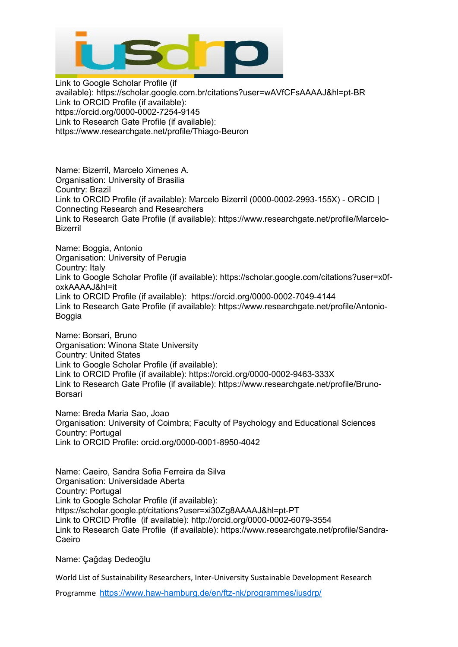

Link to Google Scholar Profile (if available): <https://scholar.google.com.br/citations?user=wAVfCFsAAAAJ&hl=pt-BR> Link to ORCID Profile (if available): <https://orcid.org/0000-0002-7254-9145> Link to Research Gate Profile (if available): <https://www.researchgate.net/profile/Thiago-Beuron>

Name: Bizerril, Marcelo Ximenes A. Organisation: University of Brasilia Country: Brazil Link to ORCID Profile (if available): Marcelo Bizerril (0000-0002-2993-155X) - ORCID | Connecting Research and Researchers Link to Research Gate Profile (if available): https://www.researchgate.net/profile/Marcelo-Bizerril

Name: Boggia, Antonio Organisation: University of Perugia Country: Italy Link to Google Scholar Profile (if available): https://scholar.google.com/citations?user=x0foxkAAAAJ&hl=it Link to ORCID Profile (if available): https://orcid.org/0000-0002-7049-4144 Link to Research Gate Profile (if available): https://www.researchgate.net/profile/Antonio-Boggia

Name: Borsari, Bruno Organisation: Winona State University Country: United States Link to Google Scholar Profile (if available): Link to ORCID Profile (if available): https://orcid.org/0000-0002-9463-333X Link to Research Gate Profile (if available): [https://www.researchgate.net/profile/Bruno-](https://www.researchgate.net/profile/Bruno-Borsari)[Borsari](https://www.researchgate.net/profile/Bruno-Borsari)

Name: Breda Maria Sao, Joao Organisation: University of Coimbra; Faculty of Psychology and Educational Sciences Country: Portugal Link to ORCID Profile: orcid.org/0000-0001-8950-4042

Name: Caeiro, Sandra Sofia Ferreira da Silva Organisation: Universidade Aberta Country: Portugal Link to Google Scholar Profile (if available): https://scholar.google.pt/citations?user=xi30Zg8AAAAJ&hl=pt-PT Link to ORCID Profile (if available): http://orcid.org/0000-0002-6079-3554 Link to Research Gate Profile (if available): https://www.researchgate.net/profile/Sandra-Caeiro

Name: Çağdaş Dedeoğlu

World List of Sustainability Researchers, Inter-University Sustainable Development Research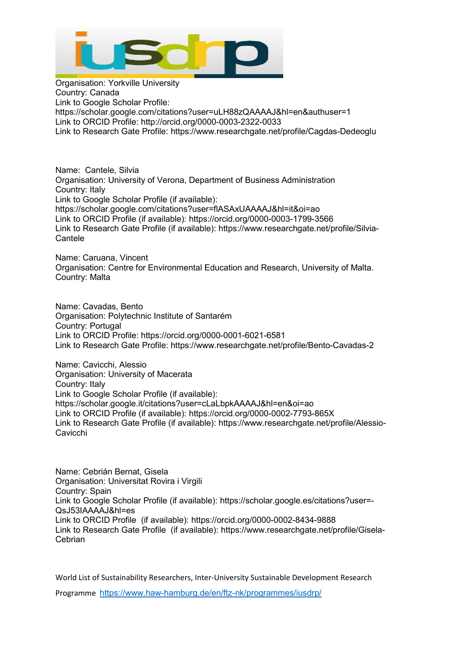

Organisation: Yorkville University Country: Canada Link to Google Scholar Profile: https://scholar.google.com/citations?user=uLH88zQAAAAJ&hl=en&authuser=1 Link to ORCID Profile: http://orcid.org/0000-0003-2322-0033 Link to Research Gate Profile: https://www.researchgate.net/profile/Cagdas-Dedeoglu

Name: Cantele, Silvia Organisation: University of Verona, Department of Business Administration Country: Italy Link to Google Scholar Profile (if available): https://scholar.google.com/citations?user=flASAxUAAAAJ&hl=it&oi=ao Link to ORCID Profile (if available): https://orcid.org/0000-0003-1799-3566 Link to Research Gate Profile (if available): https://www.researchgate.net/profile/Silvia-**Cantele** 

Name: Caruana, Vincent Organisation: Centre for Environmental Education and Research, University of Malta. Country: Malta

Name: Cavadas, Bento Organisation: Polytechnic Institute of Santarém Country: Portugal Link to ORCID Profile: https://orcid.org/0000-0001-6021-6581 Link to Research Gate Profile: https://www.researchgate.net/profile/Bento-Cavadas-2

Name: Cavicchi, Alessio Organisation: University of Macerata Country: Italy Link to Google Scholar Profile (if available): https://scholar.google.it/citations?user=cLaLbpkAAAAJ&hl=en&oi=ao Link to ORCID Profile (if available): https://orcid.org/0000-0002-7793-865X Link to Research Gate Profile (if available): [https://www.researchgate.net/profile/Alessio-](https://www.researchgate.net/profile/Alessio-Cavicchi)[Cavicchi](https://www.researchgate.net/profile/Alessio-Cavicchi)

Name: Cebrián Bernat, Gisela Organisation: Universitat Rovira i Virgili Country: Spain Link to Google Scholar Profile (if available): [https://scholar.google.es/citations?user=-](https://scholar.google.es/citations?user=-QsJ53IAAAAJ&hl=es) [QsJ53IAAAAJ&hl=es](https://scholar.google.es/citations?user=-QsJ53IAAAAJ&hl=es) Link to ORCID Profile (if available): <https://orcid.org/0000-0002-8434-9888> Link to Research Gate Profile (if available): [https://www.researchgate.net/profile/Gisela-](https://www.researchgate.net/profile/Gisela-Cebrian)[Cebrian](https://www.researchgate.net/profile/Gisela-Cebrian)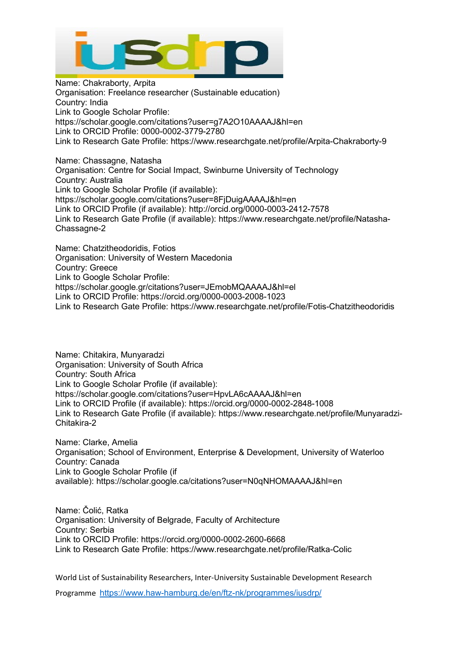

Name: Chakraborty, Arpita Organisation: Freelance researcher (Sustainable education) Country: India Link to Google Scholar Profile: https://scholar.google.com/citations?user=g7A2O10AAAAJ&hl=en Link to ORCID Profile: 0000-0002-3779-2780 Link to Research Gate Profile: https://www.researchgate.net/profile/Arpita-Chakraborty-9

Name: Chassagne, Natasha Organisation: Centre for Social Impact, Swinburne University of Technology Country: Australia Link to Google Scholar Profile (if available): https://scholar.google.com/citations?user=8FjDuigAAAAJ&hl=en Link to ORCID Profile (if available): http://orcid.org/0000-0003-2412-7578 Link to Research Gate Profile (if available): https://www.researchgate.net/profile/Natasha-Chassagne-2

Name: Chatzitheodoridis, Fotios Organisation: University of Western Macedonia Country: Greece Link to Google Scholar Profile: https://scholar.google.gr/citations?user=JEmobMQAAAAJ&hl=el Link to ORCID Profile: https://orcid.org/0000-0003-2008-1023 Link to Research Gate Profile: https://www.researchgate.net/profile/Fotis-Chatzitheodoridis

Name: Chitakira, Munyaradzi Organisation: University of South Africa Country: South Africa Link to Google Scholar Profile (if available): https://scholar.google.com/citations?user=HpvLA6cAAAAJ&hl=en Link to ORCID Profile (if available): https://orcid.org/0000-0002-2848-1008 Link to Research Gate Profile (if available): https://www.researchgate.net/profile/Munyaradzi-Chitakira-2

Name: Clarke, Amelia Organisation; School of Environment, Enterprise & Development, University of Waterloo Country: Canada Link to Google Scholar Profile (if available): https://scholar.google.ca/citations?user=N0qNHOMAAAAJ&hl=en

Name: Čolić, Ratka Organisation: University of Belgrade, Faculty of Architecture Country: Serbia Link to ORCID Profile: https://orcid.org/0000-0002-2600-6668 Link to Research Gate Profile: https://www.researchgate.net/profile/Ratka-Colic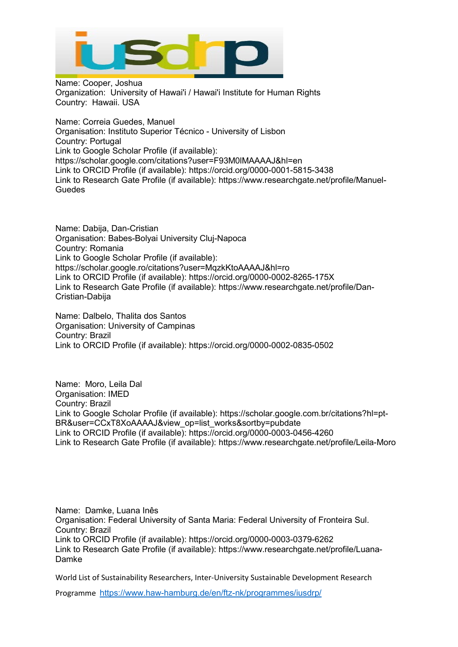

Name: Cooper, Joshua Organization: University of Hawai'i / Hawai'i Institute for Human Rights Country: Hawaii. USA

Name: Correia Guedes, Manuel Organisation: Instituto Superior Técnico - University of Lisbon Country: Portugal Link to Google Scholar Profile (if available): https://scholar.google.com/citations?user=F93M0lMAAAAJ&hl=en Link to ORCID Profile (if available): https://orcid.org/0000-0001-5815-3438 Link to Research Gate Profile (if available): [https://www.researchgate.net/profile/Manuel-](https://www.researchgate.net/profile/Manuel-Guedes)**[Guedes](https://www.researchgate.net/profile/Manuel-Guedes)** 

Name: Dabija, Dan-Cristian Organisation: Babes-Bolyai University Cluj-Napoca Country: Romania Link to Google Scholar Profile (if available): https://scholar.google.ro/citations?user=MqzkKtoAAAAJ&hl=ro Link to ORCID Profile (if available): https://orcid.org/0000-0002-8265-175X Link to Research Gate Profile (if available): [https://www.researchgate.net/profile/Dan-](https://www.researchgate.net/profile/Dan-Cristian-Dabija)[Cristian-Dabija](https://www.researchgate.net/profile/Dan-Cristian-Dabija)

Name: Dalbelo, Thalita dos Santos Organisation: University of Campinas Country: Brazil Link to ORCID Profile (if available): https:/[/orcid.org/0000-0002-0835-0502](http://orcid.org/0000-0002-0835-0502)

Name: Moro, Leila Dal Organisation: IMED Country: Brazil Link to Google Scholar Profile (if available): https://scholar.google.com.br/citations?hl=pt-BR&user=CCxT8XoAAAAJ&view\_op=list\_works&sortby=pubdate Link to ORCID Profile (if available): https://orcid.org/0000-0003-0456-4260 Link to Research Gate Profile (if available): https://www.researchgate.net/profile/Leila-Moro

Name: Damke, Luana Inês Organisation: Federal University of Santa Maria: Federal University of Fronteira Sul. Country: Brazil Link to ORCID Profile (if available): https://orcid.org/0000-0003-0379-6262 Link to Research Gate Profile (if available): https://www.researchgate.net/profile/Luana-Damke

World List of Sustainability Researchers, Inter-University Sustainable Development Research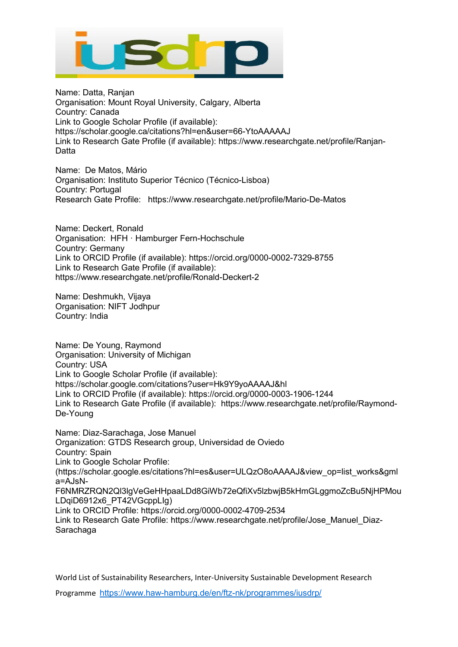

Name: Datta, Ranjan Organisation: Mount Royal University, Calgary, Alberta Country: Canada Link to Google Scholar Profile (if available): https://scholar.google.ca/citations?hl=en&user=66-YtoAAAAAJ Link to Research Gate Profile (if available): [https://www.researchgate.net/profile/Ranjan-](https://www.researchgate.net/profile/Ranjan-Datta)**[Datta](https://www.researchgate.net/profile/Ranjan-Datta)** 

Name: De Matos, Mário Organisation: Instituto Superior Técnico (Técnico-Lisboa) Country: Portugal Research Gate Profile: https://www.researchgate.net/profile/Mario-De-Matos

Name: Deckert, Ronald Organisation: HFH · Hamburger Fern-Hochschule Country: Germany Link to ORCID Profile (if available): https://orcid.org/0000-0002-7329-8755 Link to Research Gate Profile (if available): https://www.researchgate.net/profile/Ronald-Deckert-2

Name: Deshmukh, Vijaya Organisation: NIFT Jodhpur Country: India

Name: De Young, Raymond Organisation: University of Michigan Country: USA Link to Google Scholar Profile (if available): https://scholar.google.com/citations?user=Hk9Y9yoAAAAJ&hl Link to ORCID Profile (if available): https://orcid.org/0000-0003-1906-1244 Link to Research Gate Profile (if available): https://www.researchgate.net/profile/Raymond-De-Young

Name: Diaz-Sarachaga, Jose Manuel Organization: GTDS Research group, Universidad de Oviedo Country: Spain Link to Google Scholar Profile: (https://scholar.google.es/citations?hl=es&user=ULQzO8oAAAAJ&view\_op=list\_works&gml a=AJsN-F6NMRZRQN2Ql3lgVeGeHHpaaLDd8GiWb72eQfiXv5lzbwjB5kHmGLggmoZcBu5NjHPMou LDqiD6912x6\_PT42VGcppLIg) Link to ORCID Profile: https://orcid.org/0000-0002-4709-2534 Link to Research Gate Profile: https://www.researchgate.net/profile/Jose\_Manuel\_Diaz-Sarachaga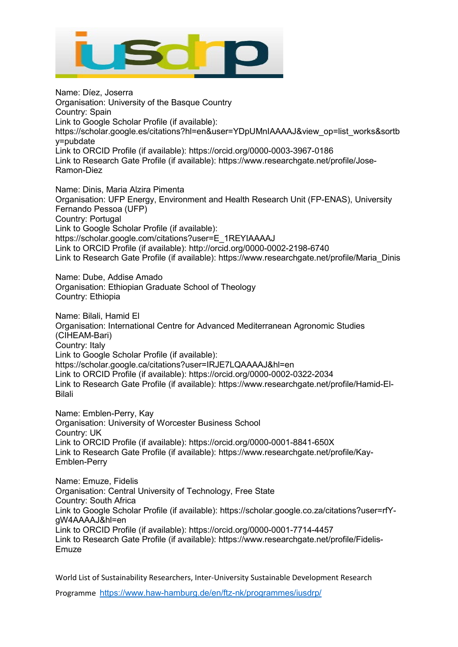

Name: Díez, Joserra Organisation: University of the Basque Country Country: Spain Link to Google Scholar Profile (if available): https://scholar.google.es/citations?hl=en&user=YDpUMnIAAAAJ&view\_op=list\_works&sortb y=pubdate Link to ORCID Profile (if available): https://orcid.org/0000-0003-3967-0186 Link to Research Gate Profile (if available): https://www.researchgate.net/profile/Jose-Ramon-Diez

Name: Dinis, Maria Alzira Pimenta Organisation: UFP Energy, Environment and Health Research Unit (FP-ENAS), University Fernando Pessoa (UFP) Country: Portugal Link to Google Scholar Profile (if available): https://scholar.google.com/citations?user=E\_1REYIAAAAJ Link to ORCID Profile (if available): http://orcid.org/0000-0002-2198-6740 Link to Research Gate Profile (if available): https://www.researchgate.net/profile/Maria\_Dinis

Name: Dube, Addise Amado Organisation: Ethiopian Graduate School of Theology Country: Ethiopia

Name: Bilali, Hamid El Organisation: International Centre for Advanced Mediterranean Agronomic Studies (CIHEAM-Bari) Country: Italy Link to Google Scholar Profile (if available): https://scholar.google.ca/citations?user=IRJE7LQAAAAJ&hl=en Link to ORCID Profile (if available): https://orcid.org/0000-0002-0322-2034 Link to Research Gate Profile (if available): https://www.researchgate.net/profile/Hamid-El-Bilali

Name: Emblen-Perry, Kay Organisation: University of Worcester Business School Country: UK Link to ORCID Profile (if available): https://orcid.org/0000-0001-8841-650X Link to Research Gate Profile (if available): https://www.researchgate.net/profile/Kay-Emblen-Perry

Name: Emuze, Fidelis Organisation: Central University of Technology, Free State Country: South Africa Link to Google Scholar Profile (if available): https://scholar.google.co.za/citations?user=rfYgW4AAAAJ&hl=en Link to ORCID Profile (if available): https://orcid.org/0000-0001-7714-4457 Link to Research Gate Profile (if available): https://www.researchgate.net/profile/Fidelis-Emuze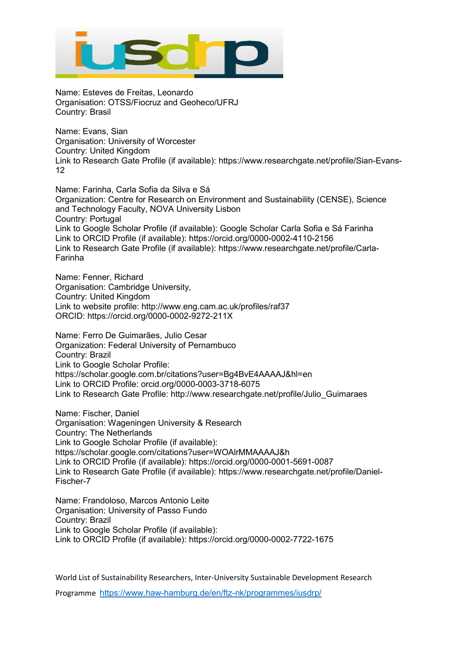

Name: Esteves de Freitas, Leonardo Organisation: OTSS/Fiocruz and Geoheco/UFRJ Country: Brasil

Name: Evans, Sian Organisation: University of Worcester Country: United Kingdom Link to Research Gate Profile (if available): https://www.researchgate.net/profile/Sian-Evans-12

Name: Farinha, Carla Sofia da Silva e Sá Organization: Centre for Research on Environment and Sustainability (CENSE), Science and Technology Faculty, NOVA University Lisbon Country: Portugal Link to Google Scholar Profile (if available): Google Scholar Carla Sofia e Sá Farinha Link to ORCID Profile (if available): https://orcid.org/0000-0002-4110-2156 Link to Research Gate Profile (if available): https://www.researchgate.net/profile/Carla-Farinha

Name: Fenner, Richard Organisation: Cambridge University, Country: United Kingdom Link to website profile: http://www.eng.cam.ac.uk/profiles/raf37 ORCID: https://orcid.org/0000-0002-9272-211X

Name: Ferro De Guimarães, Julio Cesar Organization: Federal University of Pernambuco Country: Brazil Link to Google Scholar Profile: https://scholar.google.com.br/citations?user=Bg4BvE4AAAAJ&hl=en Link to ORCID Profile: orcid.org/0000-0003-3718-6075 Link to Research Gate Profile: http://www.researchgate.net/profile/Julio\_Guimaraes

Name: Fischer, Daniel Organisation: Wageningen University & Research Country: The Netherlands Link to Google Scholar Profile (if available): https://scholar.google.com/citations?user=WOAlrMMAAAAJ&h Link to ORCID Profile (if available): https://orcid.org/0000-0001-5691-0087 Link to Research Gate Profile (if available): https://www.researchgate.net/profile/Daniel-Fischer-7

Name: Frandoloso, Marcos Antonio Leite Organisation: University of Passo Fundo Country: Brazil Link to Google Scholar Profile (if available): Link to ORCID Profile (if available): https://orcid.org/0000-0002-7722-1675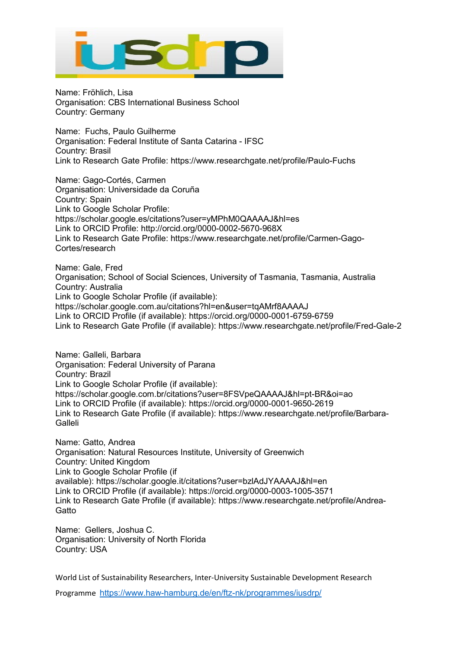

Name: Fröhlich, Lisa Organisation: CBS International Business School Country: Germany

Name: Fuchs, Paulo Guilherme Organisation: Federal Institute of Santa Catarina - IFSC Country: Brasil Link to Research Gate Profile: https://www.researchgate.net/profile/Paulo-Fuchs

Name: Gago-Cortés, Carmen Organisation: Universidade da Coruña Country: Spain Link to Google Scholar Profile: https://scholar.google.es/citations?user=yMPhM0QAAAAJ&hl=es Link to ORCID Profile: http://orcid.org/0000-0002-5670-968X Link to Research Gate Profile: [https://www.researchgate.net/profile/Carmen-Gago-](https://www.researchgate.net/profile/Carmen-Gago-Cortes/research)[Cortes/research](https://www.researchgate.net/profile/Carmen-Gago-Cortes/research)

Name: Gale, Fred Organisation; School of Social Sciences, University of Tasmania, Tasmania, Australia Country: Australia Link to Google Scholar Profile (if available): https://scholar.google.com.au/citations?hl=en&user=tqAMrf8AAAAJ Link to ORCID Profile (if available): https://orcid.org/0000-0001-6759-6759 Link to Research Gate Profile (if available): https://www.researchgate.net/profile/Fred-Gale-2

Name: Galleli, Barbara Organisation: Federal University of Parana Country: Brazil Link to Google Scholar Profile (if available): https://scholar.google.com.br/citations?user=8FSVpeQAAAAJ&hl=pt-BR&oi=ao Link to ORCID Profile (if available): https://orcid.org/0000-0001-9650-2619 Link to Research Gate Profile (if available): https://www.researchgate.net/profile/Barbara-Galleli

Name: Gatto, Andrea Organisation: Natural Resources Institute, University of Greenwich Country: United Kingdom Link to Google Scholar Profile (if available): <https://scholar.google.it/citations?user=bzlAdJYAAAAJ&hl=en> Link to ORCID Profile (if available): <https://orcid.org/0000-0003-1005-3571> Link to Research Gate Profile (if available): [https://www.researchgate.net/profile/Andrea-](https://www.researchgate.net/profile/Andrea-Gatto)**[Gatto](https://www.researchgate.net/profile/Andrea-Gatto)** 

Name: Gellers, Joshua C. Organisation: University of North Florida Country: USA

World List of Sustainability Researchers, Inter-University Sustainable Development Research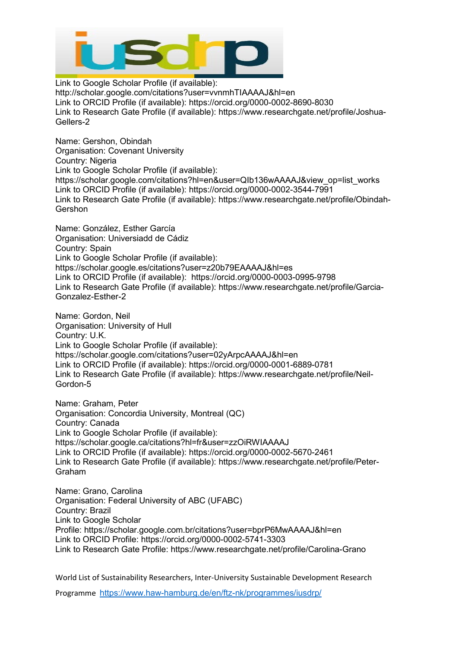

Link to Google Scholar Profile (if available): http://scholar.google.com/citations?user=vvnmhTIAAAAJ&hl=en Link to ORCID Profile (if available): https://orcid.org/0000-0002-8690-8030 Link to Research Gate Profile (if available): https://www.researchgate.net/profile/Joshua-Gellers-2

Name: Gershon, Obindah Organisation: Covenant University Country: Nigeria Link to Google Scholar Profile (if available): https://scholar.google.com/citations?hl=en&user=QIb136wAAAAJ&view\_op=list\_works Link to ORCID Profile (if available): https://orcid.org/0000-0002-3544-7991 Link to Research Gate Profile (if available): https://www.researchgate.net/profile/Obindah-**Gershon** 

Name: González, Esther García Organisation: Universiadd de Cádiz Country: Spain Link to Google Scholar Profile (if available): https://scholar.google.es/citations?user=z20b79EAAAAJ&hl=es Link to ORCID Profile (if available): https://orcid.org/0000-0003-0995-9798 Link to Research Gate Profile (if available): https://www.researchgate.net/profile/Garcia-Gonzalez-Esther-2

Name: Gordon, Neil Organisation: University of Hull Country: U.K. Link to Google Scholar Profile (if available): https://scholar.google.com/citations?user=02yArpcAAAAJ&hl=en Link to ORCID Profile (if available): https://orcid.org/0000-0001-6889-0781 Link to Research Gate Profile (if available): https://www.researchgate.net/profile/Neil-Gordon-5

Name: Graham, Peter Organisation: Concordia University, Montreal (QC) Country: Canada Link to Google Scholar Profile (if available): https://scholar.google.ca/citations?hl=fr&user=zzOiRWIAAAAJ Link to ORCID Profile (if available): https://orcid.org/0000-0002-5670-2461 Link to Research Gate Profile (if available): https://www.researchgate.net/profile/Peter-Graham

Name: Grano, Carolina Organisation: Federal University of ABC (UFABC) Country: Brazil Link to Google Scholar Profile: <https://scholar.google.com.br/citations?user=bprP6MwAAAAJ&hl=en> Link to ORCID Profile: <https://orcid.org/0000-0002-5741-3303> Link to Research Gate Profile: <https://www.researchgate.net/profile/Carolina-Grano>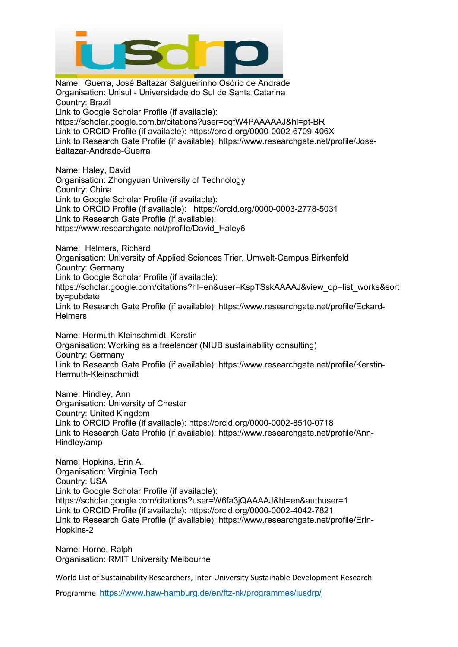

Name: Guerra, José Baltazar Salgueirinho Osório de Andrade Organisation: Unisul - Universidade do Sul de Santa Catarina Country: Brazil Link to Google Scholar Profile (if available): https://scholar.google.com.br/citations?user=oqfW4PAAAAAJ&hl=pt-BR Link to ORCID Profile (if available): https://orcid.org/0000-0002-6709-406X Link to Research Gate Profile (if available): https://www.researchgate.net/profile/Jose-Baltazar-Andrade-Guerra Name: Haley, David Organisation: Zhongyuan University of Technology Country: China Link to Google Scholar Profile (if available): Link to ORCID Profile (if available): https://orcid.org/0000-0003-2778-5031 Link to Research Gate Profile (if available): https://www.researchgate.net/profile/David\_Haley6 Name: Helmers, Richard Organisation: University of Applied Sciences Trier, Umwelt-Campus Birkenfeld Country: Germany Link to Google Scholar Profile (if available): https://scholar.google.com/citations?hl=en&user=KspTSskAAAAJ&view\_op=list\_works&sort by=pubdate Link to Research Gate Profile (if available): https://www.researchgate.net/profile/Eckard-**Helmers** Name: Hermuth-Kleinschmidt, Kerstin Organisation: Working as a freelancer (NIUB sustainability consulting) Country: Germany Link to Research Gate Profile (if available): https://www.researchgate.net/profile/Kerstin-Hermuth-Kleinschmidt

Name: Hindley, Ann Organisation: University of Chester Country: United Kingdom Link to ORCID Profile (if available): https://orcid.org/0000-0002-8510-0718 Link to Research Gate Profile (if available): https://www.researchgate.net/profile/Ann-Hindley/amp

Name: Hopkins, Erin A. Organisation: Virginia Tech Country: USA Link to Google Scholar Profile (if available): https://scholar.google.com/citations?user=W6fa3jQAAAAJ&hl=en&authuser=1 Link to ORCID Profile (if available): https://orcid.org/0000-0002-4042-7821 Link to Research Gate Profile (if available): https://www.researchgate.net/profile/Erin-Hopkins-2

Name: Horne, Ralph Organisation: RMIT University Melbourne

World List of Sustainability Researchers, Inter-University Sustainable Development Research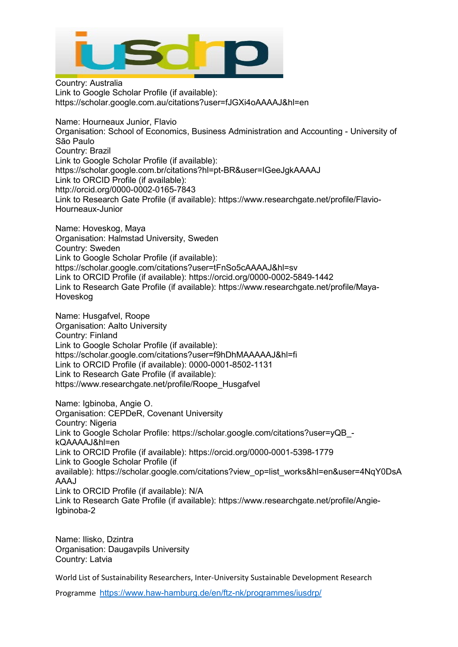

Country: Australia Link to Google Scholar Profile (if available): https://scholar.google.com.au/citations?user=fJGXi4oAAAAJ&hl=en

Name: Hourneaux Junior, Flavio Organisation: School of Economics, Business Administration and Accounting - University of São Paulo Country: Brazil Link to Google Scholar Profile (if available): https://scholar.google.com.br/citations?hl=pt-BR&user=IGeeJgkAAAAJ Link to ORCID Profile (if available): http://orcid.org/0000-0002-0165-7843 Link to Research Gate Profile (if available): https://www.researchgate.net/profile/Flavio-Hourneaux-Junior

Name: Hoveskog, Maya Organisation: Halmstad University, Sweden Country: Sweden Link to Google Scholar Profile (if available): https://scholar.google.com/citations?user=tFnSo5cAAAAJ&hl=sv Link to ORCID Profile (if available): https://orcid.org/0000-0002-5849-1442 Link to Research Gate Profile (if available): https://www.researchgate.net/profile/Maya-Hoveskog

Name: Husgafvel, Roope Organisation: Aalto University Country: Finland Link to Google Scholar Profile (if available): https://scholar.google.com/citations?user=f9hDhMAAAAAJ&hl=fi Link to ORCID Profile (if available): 0000-0001-8502-1131 Link to Research Gate Profile (if available): https://www.researchgate.net/profile/Roope\_Husgafvel

Name: Igbinoba, Angie O. Organisation: CEPDeR, Covenant University Country: Nigeria Link to Google Scholar Profile: https://scholar.google.com/citations?user=yQB kQAAAAJ&hl=en Link to ORCID Profile (if available): https://orcid.org/0000-0001-5398-1779 Link to Google Scholar Profile (if available): [https://scholar.google.com/citations?view\\_op=list\\_works&hl=en&user=4NqY0DsA](https://scholar.google.com/citations?view_op=list_works&hl=en&user=4NqY0DsAAAAJ) [AAAJ](https://scholar.google.com/citations?view_op=list_works&hl=en&user=4NqY0DsAAAAJ) Link to ORCID Profile (if available): N/A Link to Research Gate Profile (if available): [https://www.researchgate.net/profile/Angie-](https://www.researchgate.net/profile/Angie-Igbinoba-2)[Igbinoba-2](https://www.researchgate.net/profile/Angie-Igbinoba-2)

Name: Ilisko, Dzintra Organisation: Daugavpils University Country: Latvia

World List of Sustainability Researchers, Inter-University Sustainable Development Research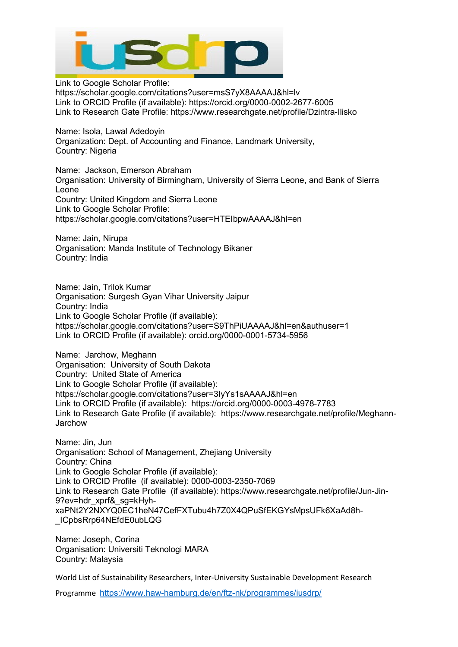

Link to Google Scholar Profile: https://scholar.google.com/citations?user=msS7yX8AAAAJ&hl=lv Link to ORCID Profile (if available): https://orcid.org/0000-0002-2677-6005 Link to Research Gate Profile: https://www.researchgate.net/profile/Dzintra-Ilisko

Name: Isola, Lawal Adedoyin Organization: Dept. of Accounting and Finance, Landmark University, Country: Nigeria

Name: Jackson, Emerson Abraham Organisation: University of Birmingham, University of Sierra Leone, and Bank of Sierra Leone Country: United Kingdom and Sierra Leone Link to Google Scholar Profile: https://scholar.google.com/citations?user=HTEIbpwAAAAJ&hl=en

Name: Jain, Nirupa Organisation: Manda Institute of Technology Bikaner Country: India

Name: Jain, Trilok Kumar Organisation: Surgesh Gyan Vihar University Jaipur Country: India Link to Google Scholar Profile (if available): https://scholar.google.com/citations?user=S9ThPiUAAAAJ&hl=en&authuser=1 Link to ORCID Profile (if available): orcid.org/0000-0001-5734-5956

Name: Jarchow, Meghann Organisation: University of South Dakota Country: United State of America Link to Google Scholar Profile (if available): https://scholar.google.com/citations?user=3IyYs1sAAAAJ&hl=en Link to ORCID Profile (if available): https://orcid.org/0000-0003-4978-7783 Link to Research Gate Profile (if available): https://www.researchgate.net/profile/Meghann-**Jarchow** 

Name: Jin, Jun Organisation: School of Management, Zhejiang University Country: China Link to Google Scholar Profile (if available): Link to ORCID Profile (if available): 0000-0003-2350-7069 Link to Research Gate Profile (if available): https://www.researchgate.net/profile/Jun-Jin-9?ev=hdr\_xprf&\_sg=kHyhxaPNt2Y2NXYQ0EC1heN47CefFXTubu4h7Z0X4QPuSfEKGYsMpsUFk6XaAd8h- \_ICpbsRrp64NEfdE0ubLQG

Name: Joseph, Corina Organisation: Universiti Teknologi MARA Country: Malaysia

World List of Sustainability Researchers, Inter-University Sustainable Development Research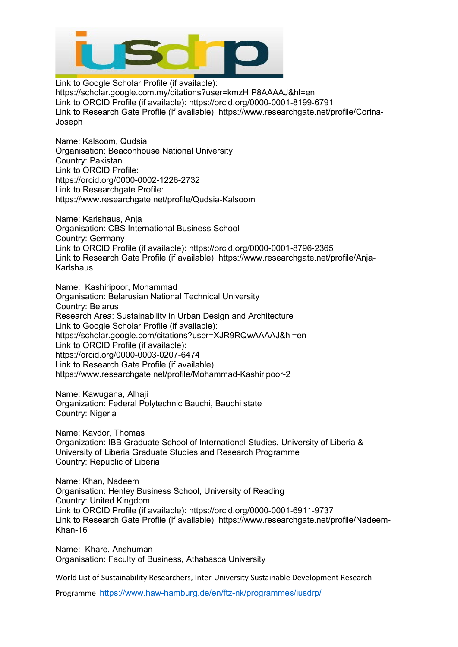

Link to Google Scholar Profile (if available): https://scholar.google.com.my/citations?user=kmzHIP8AAAAJ&hl=en Link to ORCID Profile (if available): https://orcid.org/0000-0001-8199-6791 Link to Research Gate Profile (if available): https://www.researchgate.net/profile/Corina-Joseph

Name: Kalsoom, Qudsia Organisation: Beaconhouse National University Country: Pakistan Link to ORCID Profile: [https://orcid.org/0000-0002-1226-2732](https://www.scopus.com/redirect.uri?url=https://orcid.org/0000-0002-1226-2732&authorId=57194200596&origin=AuthorProfile&orcId=0000-0002-1226-2732&category=orcidLink%22) Link to Researchgate Profile: <https://www.researchgate.net/profile/Qudsia-Kalsoom>

Name: Karlshaus, Anja Organisation: CBS International Business School Country: Germany Link to ORCID Profile (if available): https://orcid.org/0000-0001-8796-2365 Link to Research Gate Profile (if available): https://www.researchgate.net/profile/Anja-Karlshaus

Name: Kashiripoor, Mohammad Organisation: Belarusian National Technical University Country: Belarus Research Area: Sustainability in Urban Design and Architecture Link to Google Scholar Profile (if available): https://scholar.google.com/citations?user=XJR9RQwAAAAJ&hl=en Link to ORCID Profile (if available): https://orcid.org/0000-0003-0207-6474 Link to Research Gate Profile (if available): https://www.researchgate.net/profile/Mohammad-Kashiripoor-2

Name: Kawugana, Alhaji Organization: Federal Polytechnic Bauchi, Bauchi state Country: Nigeria

Name: Kaydor, Thomas Organization: IBB Graduate School of International Studies, University of Liberia & University of Liberia Graduate Studies and Research Programme Country: Republic of Liberia

Name: Khan, Nadeem Organisation: Henley Business School, University of Reading Country: United Kingdom Link to ORCID Profile (if available): https://orcid.org/0000-0001-6911-9737 Link to Research Gate Profile (if available): https://www.researchgate.net/profile/Nadeem-Khan-16

Name: Khare, Anshuman Organisation: Faculty of Business, Athabasca University

World List of Sustainability Researchers, Inter-University Sustainable Development Research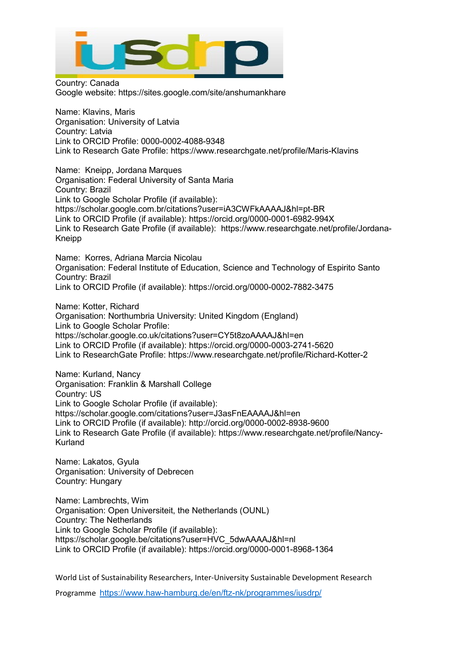

Country: Canada Google website: https://sites.google.com/site/anshumankhare

Name: Klavins, Maris Organisation: University of Latvia Country: Latvia Link to ORCID Profile: 0000-0002-4088-9348 Link to Research Gate Profile: https://www.researchgate.net/profile/Maris-Klavins

Name: Kneipp, Jordana Marques Organisation: Federal University of Santa Maria Country: Brazil Link to Google Scholar Profile (if available): https://scholar.google.com.br/citations?user=iA3CWFkAAAAJ&hl=pt-BR Link to ORCID Profile (if available): https://orcid.org/0000-0001-6982-994X Link to Research Gate Profile (if available): https://www.researchgate.net/profile/Jordana-Kneipp

Name: Korres, Adriana Marcia Nicolau Organisation: Federal Institute of Education, Science and Technology of Espirito Santo Country: Brazil Link to ORCID Profile (if available): https://orcid.org/0000-0002-7882-3475

Name: Kotter, Richard Organisation: Northumbria University: United Kingdom (England) Link to Google Scholar Profile: https://scholar.google.co.uk/citations?user=CY5t8zoAAAAJ&hl=en Link to ORCID Profile (if available): https://orcid.org/0000-0003-2741-5620 Link to ResearchGate Profile: https://www.researchgate.net/profile/Richard-Kotter-2

Name: Kurland, Nancy Organisation: Franklin & Marshall College Country: US Link to Google Scholar Profile (if available): https://scholar.google.com/citations?user=J3asFnEAAAAJ&hl=en Link to ORCID Profile (if available): http://orcid.org/0000-0002-8938-9600 Link to Research Gate Profile (if available): https://www.researchgate.net/profile/Nancy-Kurland

Name: Lakatos, Gyula Organisation: University of Debrecen Country: Hungary

Name: Lambrechts, Wim Organisation: Open Universiteit, the Netherlands (OUNL) Country: The Netherlands Link to Google Scholar Profile (if available): https://scholar.google.be/citations?user=HVC\_5dwAAAAJ&hl=nl Link to ORCID Profile (if available): https://orcid.org/0000-0001-8968-1364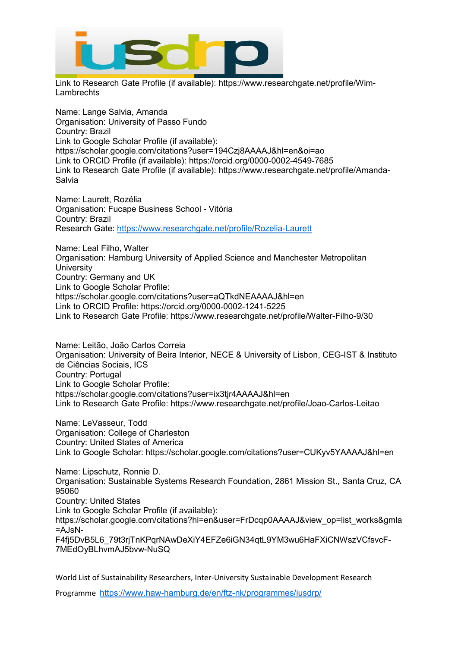

Link to Research Gate Profile (if available): https://www.researchgate.net/profile/Wim-Lambrechts

Name: Lange Salvia, Amanda Organisation: University of Passo Fundo Country: Brazil Link to Google Scholar Profile (if available): https://scholar.google.com/citations?user=194Czj8AAAAJ&hl=en&oi=ao Link to ORCID Profile (if available): https://orcid.org/0000-0002-4549-7685 Link to Research Gate Profile (if available): https://www.researchgate.net/profile/Amanda-Salvia

Name: Laurett, Rozélia Organisation: Fucape Business School - Vitória Country: Brazil Research Gate:<https://www.researchgate.net/profile/Rozelia-Laurett>

Name: Leal Filho, Walter Organisation: Hamburg University of Applied Science and Manchester Metropolitan **University** Country: Germany and UK Link to Google Scholar Profile: https://scholar.google.com/citations?user=aQTkdNEAAAAJ&hl=en Link to ORCID Profile: https://orcid.org/0000-0002-1241-5225 Link to Research Gate Profile: https://www.researchgate.net/profile/Walter-Filho-9/30

Name: Leitão, João Carlos Correia Organisation: University of Beira Interior, NECE & University of Lisbon, CEG-IST & Instituto de Ciências Sociais, ICS Country: Portugal Link to Google Scholar Profile: https://scholar.google.com/citations?user=ix3tjr4AAAAJ&hl=en Link to Research Gate Profile: https://www.researchgate.net/profile/Joao-Carlos-Leitao

Name: LeVasseur, Todd Organisation: College of Charleston Country: United States of America Link to Google Scholar: https://scholar.google.com/citations?user=CUKyv5YAAAAJ&hl=en

Name: Lipschutz, Ronnie D. Organisation: Sustainable Systems Research Foundation, 2861 Mission St., Santa Cruz, CA 95060 Country: United States Link to Google Scholar Profile (if available): https://scholar.google.com/citations?hl=en&user=FrDcqp0AAAAJ&view\_op=list\_works&gmla =AJsN-F4fj5DvB5L6\_79t3rjTnKPqrNAwDeXiY4EFZe6iGN34qtL9YM3wu6HaFXiCNWszVCfsvcF-7MEdOyBLhvmAJ5bvw-NuSQ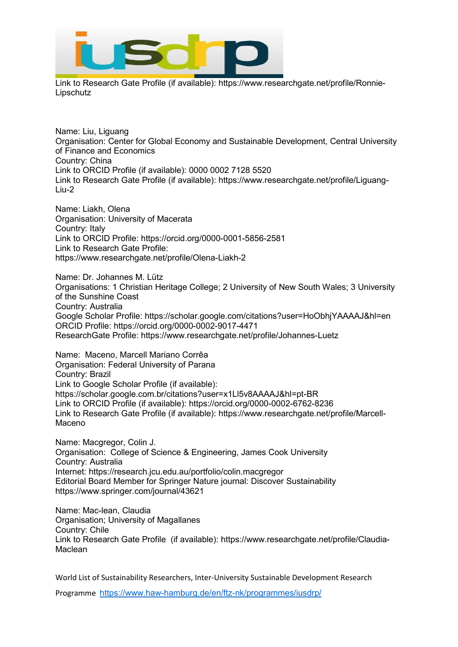

Link to Research Gate Profile (if available): [https://www.researchgate.net/profile/Ronnie-](https://www.researchgate.net/profile/Ronnie-Lipschutz)[Lipschutz](https://www.researchgate.net/profile/Ronnie-Lipschutz)

Name: Liu, Liguang Organisation: Center for Global Economy and Sustainable Development, Central University of Finance and Economics Country: China Link to ORCID Profile (if available): 0000 0002 7128 5520 Link to Research Gate Profile (if available): [https://www.researchgate.net/profile/Liguang-](https://www.researchgate.net/profile/Liguang-Liu-2)[Liu-2](https://www.researchgate.net/profile/Liguang-Liu-2)

Name: Liakh, Olena Organisation: University of Macerata Country: Italy Link to ORCID Profile: <https://orcid.org/0000-0001-5856-2581> Link to Research Gate Profile: <https://www.researchgate.net/profile/Olena-Liakh-2>

Name: Dr. Johannes M. Lütz Organisations: 1 Christian Heritage College; 2 University of New South Wales; 3 University of the Sunshine Coast Country: Australia Google Scholar Profile: https://scholar.google.com/citations?user=HoObhjYAAAAJ&hl=en ORCID Profile: https://orcid.org/0000-0002-9017-4471 ResearchGate Profile: https://www.researchgate.net/profile/Johannes-Luetz

Name: Maceno, Marcell Mariano Corrêa Organisation: Federal University of Parana Country: Brazil Link to Google Scholar Profile (if available): https://scholar.google.com.br/citations?user=x1Ll5v8AAAAJ&hl=pt-BR Link to ORCID Profile (if available): https://orcid.org/0000-0002-6762-8236 Link to Research Gate Profile (if available): https://www.researchgate.net/profile/Marcell-Maceno

Name: Macgregor, Colin J. Organisation: College of Science & Engineering, James Cook University Country: Australia Internet: https://research.jcu.edu.au/portfolio/colin.macgregor Editorial Board Member for Springer Nature journal: Discover Sustainability https://www.springer.com/journal/43621

Name: Mac-lean, Claudia Organisation; University of Magallanes Country: Chile Link to Research Gate Profile (if available): [https://www.researchgate.net/profile/Claudia-](https://www.researchgate.net/profile/Claudia-Maclean)[Maclean](https://www.researchgate.net/profile/Claudia-Maclean)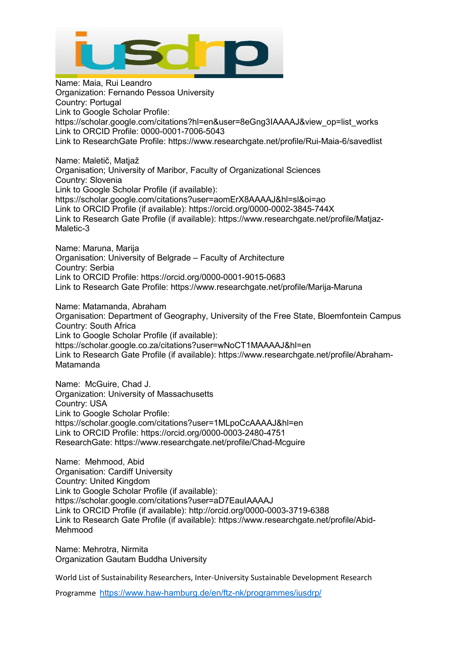

Name: Maia, Rui Leandro Organization: Fernando Pessoa University Country: Portugal Link to Google Scholar Profile: https://scholar.google.com/citations?hl=en&user=8eGng3IAAAAJ&view\_op=list\_works Link to ORCID Profile: 0000-0001-7006-5043 Link to ResearchGate Profile: https://www.researchgate.net/profile/Rui-Maia-6/savedlist Name: Maletič, Matjaž Organisation; University of Maribor, Faculty of Organizational Sciences Country: Slovenia Link to Google Scholar Profile (if available): https://scholar.google.com/citations?user=aomErX8AAAAJ&hl=sl&oi=ao Link to ORCID Profile (if available): https://orcid.org/0000-0002-3845-744X Link to Research Gate Profile (if available): [https://www.researchgate.net/profile/Matjaz-](https://www.researchgate.net/profile/Matjaz-Maletic-3)[Maletic-3](https://www.researchgate.net/profile/Matjaz-Maletic-3) Name: Maruna, Marija Organisation: University of Belgrade – Faculty of Architecture Country: Serbia Link to ORCID Profile: https://orcid.org/0000-0001-9015-0683 Link to Research Gate Profile: https://www.researchgate.net/profile/Marija-Maruna Name: Matamanda, Abraham Organisation: Department of Geography, University of the Free State, Bloemfontein Campus Country: South Africa Link to Google Scholar Profile (if available): https://scholar.google.co.za/citations?user=wNoCT1MAAAAJ&hl=en Link to Research Gate Profile (if available): https://www.researchgate.net/profile/Abraham-Matamanda Name: McGuire, Chad J.

Organization: University of Massachusetts Country: USA Link to Google Scholar Profile: https://scholar.google.com/citations?user=1MLpoCcAAAAJ&hl=en Link to ORCID Profile: https://orcid.org/0000-0003-2480-4751 ResearchGate: https://www.researchgate.net/profile/Chad-Mcguire

Name: Mehmood, Abid Organisation: Cardiff University Country: United Kingdom Link to Google Scholar Profile (if available): https://scholar.google.com/citations?user=aD7EauIAAAAJ Link to ORCID Profile (if available): http://orcid.org/0000-0003-3719-6388 Link to Research Gate Profile (if available): https://www.researchgate.net/profile/Abid-Mehmood

Name: Mehrotra, Nirmita Organization Gautam Buddha University

World List of Sustainability Researchers, Inter-University Sustainable Development Research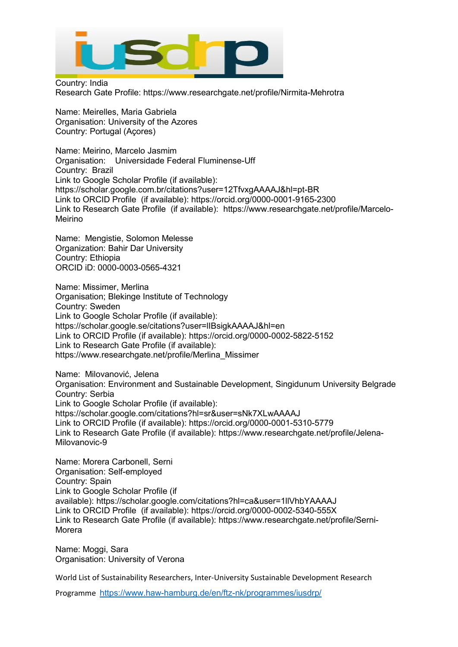

Country: India Research Gate Profile: https://www.researchgate.net/profile/Nirmita-Mehrotra

Name: Meirelles, Maria Gabriela Organisation: University of the Azores Country: Portugal (Açores)

Name: Meirino, Marcelo Jasmim Organisation: Universidade Federal Fluminense-Uff Country: Brazil Link to Google Scholar Profile (if available): https://scholar.google.com.br/citations?user=12TfvxgAAAAJ&hl=pt-BR Link to ORCID Profile (if available): https://orcid.org/0000-0001-9165-2300 Link to Research Gate Profile (if available): https://www.researchgate.net/profile/Marcelo-Meirino

Name: Mengistie, Solomon Melesse Organization: Bahir Dar University Country: Ethiopia ORCID iD: 0000-0003-0565-4321

Name: Missimer, Merlina Organisation; Blekinge Institute of Technology Country: Sweden Link to Google Scholar Profile (if available): https://scholar.google.se/citations?user=lIBsigkAAAAJ&hl=en Link to ORCID Profile (if available): https://orcid.org/0000-0002-5822-5152 Link to Research Gate Profile (if available): [https://www.researchgate.net/profile/Merlina\\_Missimer](https://www.researchgate.net/profile/Merlina_Missimer)

Name: Milovanović, Jelena Organisation: Environment and Sustainable Development, Singidunum University Belgrade Country: Serbia Link to Google Scholar Profile (if available): https://scholar.google.com/citations?hl=sr&user=sNk7XLwAAAAJ Link to ORCID Profile (if available): https://orcid.org/0000-0001-5310-5779 Link to Research Gate Profile (if available): [https://www.researchgate.net/profile/Jelena-](https://www.researchgate.net/profile/Jelena-Milovanovic-9)[Milovanovic-9](https://www.researchgate.net/profile/Jelena-Milovanovic-9)

Name: Morera Carbonell, Serni Organisation: Self-employed Country: Spain Link to Google Scholar Profile (if available): <https://scholar.google.com/citations?hl=ca&user=1llVhbYAAAAJ> Link to ORCID Profile (if available): <https://orcid.org/0000-0002-5340-555X> Link to Research Gate Profile (if available): [https://www.researchgate.net/profile/Serni-](https://www.researchgate.net/profile/Serni-Morera)[Morera](https://www.researchgate.net/profile/Serni-Morera)

Name: Moggi, Sara Organisation: University of Verona

World List of Sustainability Researchers, Inter-University Sustainable Development Research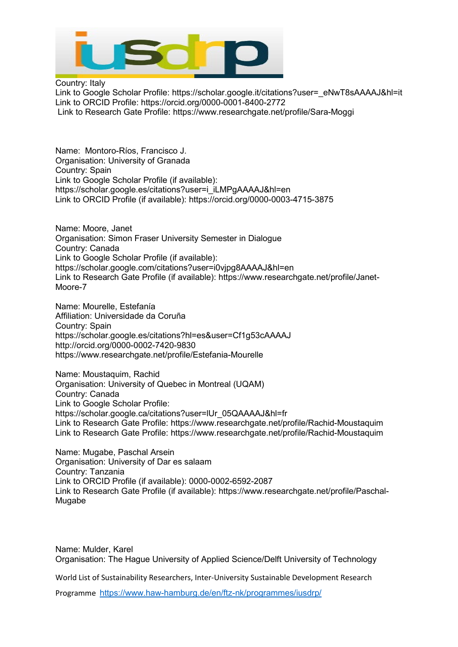

Country: Italy Link to Google Scholar Profile: [https://scholar.google.it/citations?user=\\_eNwT8sAAAAJ&hl=it](https://scholar.google.it/citations?user=_eNwT8sAAAAJ&hl=it) Link to ORCID Profile: <https://orcid.org/0000-0001-8400-2772> Link to Research Gate Profile: <https://www.researchgate.net/profile/Sara-Moggi>

Name: Montoro-Ríos, Francisco J. Organisation: University of Granada Country: Spain Link to Google Scholar Profile (if available): https://scholar.google.es/citations?user=i\_iLMPgAAAAJ&hl=en Link to ORCID Profile (if available): https://orcid.org/0000-0003-4715-3875

Name: Moore, Janet Organisation: Simon Fraser University Semester in Dialogue Country: Canada Link to Google Scholar Profile (if available): https://scholar.google.com/citations?user=i0vjpg8AAAAJ&hl=en Link to Research Gate Profile (if available): https://www.researchgate.net/profile/Janet-Moore-7

Name: Mourelle, Estefanía Affiliation: Universidade da Coruña Country: Spain https://scholar.google.es/citations?hl=es&user=Cf1g53cAAAAJ http://orcid.org/0000-0002-7420-9830 https://www.researchgate.net/profile/Estefania-Mourelle

Name: Moustaquim, Rachid Organisation: University of Quebec in Montreal (UQAM) Country: Canada Link to Google Scholar Profile: https://scholar.google.ca/citations?user=lUr\_05QAAAAJ&hl=fr Link to Research Gate Profile: https://www.researchgate.net/profile/Rachid-Moustaquim Link to Research Gate Profile: https://www.researchgate.net/profile/Rachid-Moustaquim

Name: Mugabe, Paschal Arsein Organisation: University of Dar es salaam Country: Tanzania Link to ORCID Profile (if available): 0000-0002-6592-2087 Link to Research Gate Profile (if available): https://www.researchgate.net/profile/Paschal-Mugabe

Name: Mulder, Karel Organisation: The Hague University of Applied Science/Delft University of Technology

World List of Sustainability Researchers, Inter-University Sustainable Development Research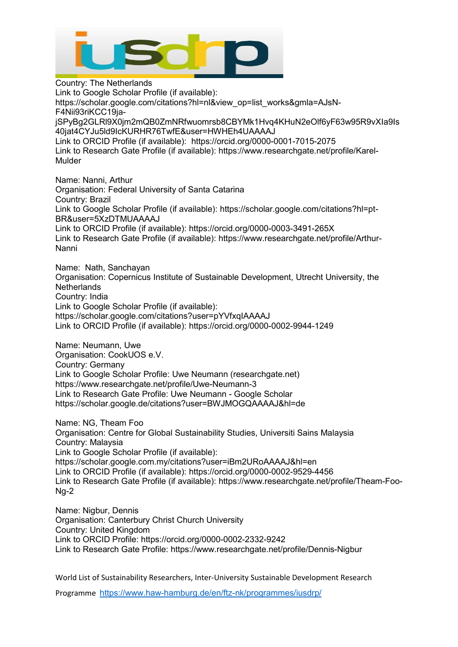

Country: The Netherlands Link to Google Scholar Profile (if available): https://scholar.google.com/citations?hl=nl&view\_op=list\_works&gmla=AJsN-F4Nii93riKCC19jajSPyBg2GLRl9X0jm2mQB0ZmNRfwuomrsb8CBYMk1Hvq4KHuN2eOlf6yF63w95R9vXIa9Is 40jat4CYJu5ld9IcKURHR76TwfE&user=HWHEh4UAAAAJ Link to ORCID Profile (if available): https://orcid.org/0000-0001-7015-2075 Link to Research Gate Profile (if available): https://www.researchgate.net/profile/Karel-Mulder Name: Nanni, Arthur Organisation: Federal University of Santa Catarina Country: Brazil Link to Google Scholar Profile (if available): https://scholar.google.com/citations?hl=pt-BR&user=5XzDTMUAAAAJ Link to ORCID Profile (if available): https://orcid.org/0000-0003-3491-265X Link to Research Gate Profile (if available): https://www.researchgate.net/profile/Arthur-Nanni Name: Nath, Sanchayan Organisation: Copernicus Institute of Sustainable Development, Utrecht University, the **Netherlands** Country: India Link to Google Scholar Profile (if available): https://scholar.google.com/citations?user=pYVfxqIAAAAJ Link to ORCID Profile (if available): https://orcid.org/0000-0002-9944-1249 Name: Neumann, Uwe Organisation: CookUOS e.V. Country: Germany Link to Google Scholar Profile: Uwe Neumann (researchgate.net) https://www.researchgate.net/profile/Uwe-Neumann-3 Link to Research Gate Profile: Uwe Neumann - Google Scholar https://scholar.google.de/citations?user=BWJMOGQAAAAJ&hl=de Name: NG, Theam Foo Organisation: Centre for Global Sustainability Studies, Universiti Sains Malaysia Country: Malaysia Link to Google Scholar Profile (if available): https://scholar.google.com.my/citations?user=iBm2URoAAAAJ&hl=en Link to ORCID Profile (if available): https://orcid.org/0000-0002-9529-4456 Link to Research Gate Profile (if available): https://www.researchgate.net/profile/Theam-Foo-Ng-2

Name: Nigbur, Dennis Organisation: Canterbury Christ Church University Country: United Kingdom Link to ORCID Profile: https://orcid.org/0000-0002-2332-9242 Link to Research Gate Profile: https://www.researchgate.net/profile/Dennis-Nigbur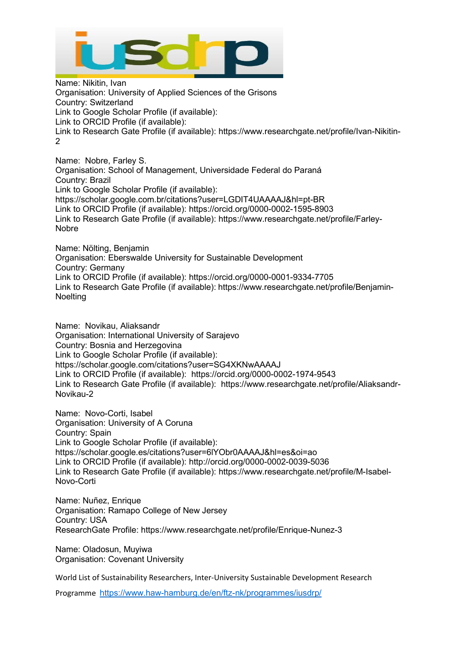

Name: Nikitin, Ivan Organisation: University of Applied Sciences of the Grisons Country: Switzerland Link to Google Scholar Profile (if available): Link to ORCID Profile (if available): Link to Research Gate Profile (if available): https://www.researchgate.net/profile/Ivan-Nikitin-2

Name: Nobre, Farley S. Organisation: School of Management, Universidade Federal do Paraná Country: Brazil Link to Google Scholar Profile (if available): https://scholar.google.com.br/citations?user=LGDIT4UAAAAJ&hl=pt-BR Link to ORCID Profile (if available): https://orcid.org/0000-0002-1595-8903 Link to Research Gate Profile (if available): https://www.researchgate.net/profile/Farley-Nobre

Name: Nölting, Benjamin Organisation: Eberswalde University for Sustainable Development Country: Germany Link to ORCID Profile (if available): https://orcid.org/0000-0001-9334-7705 Link to Research Gate Profile (if available): https://www.researchgate.net/profile/Benjamin-**Noelting** 

Name: Novikau, Aliaksandr Organisation: International University of Sarajevo Country: Bosnia and Herzegovina Link to Google Scholar Profile (if available): https://scholar.google.com/citations?user=SG4XKNwAAAAJ Link to ORCID Profile (if available): https://orcid.org/0000-0002-1974-9543 Link to Research Gate Profile (if available): https://www.researchgate.net/profile/Aliaksandr-Novikau-2

Name: Novo-Corti, Isabel Organisation: University of A Coruna Country: Spain Link to Google Scholar Profile (if available): https://scholar.google.es/citations?user=6lYObr0AAAAJ&hl=es&oi=ao Link to ORCID Profile (if available): http://orcid.org/0000-0002-0039-5036 Link to Research Gate Profile (if available): https://www.researchgate.net/profile/M-Isabel-Novo-Corti

Name: Nuñez, Enrique Organisation: Ramapo College of New Jersey Country: USA ResearchGate Profile: https://www.researchgate.net/profile/Enrique-Nunez-3

Name: Oladosun, Muyiwa Organisation: Covenant University

World List of Sustainability Researchers, Inter-University Sustainable Development Research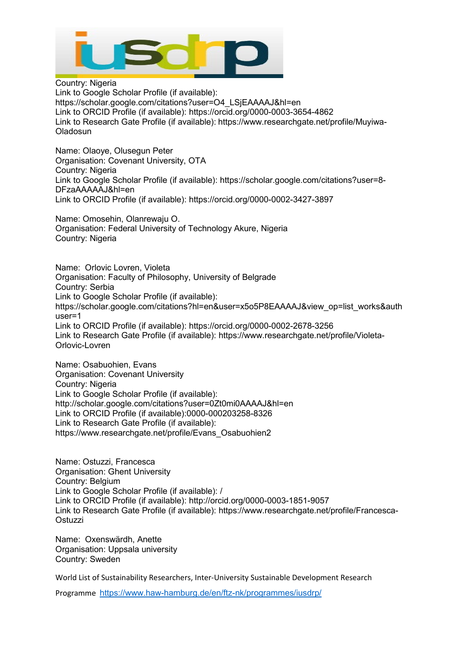

Country: Nigeria Link to Google Scholar Profile (if available): https://scholar.google.com/citations?user=O4\_LSjEAAAAJ&hl=en Link to ORCID Profile (if available): https://orcid.org/0000-0003-3654-4862 Link to Research Gate Profile (if available): https://www.researchgate.net/profile/Muyiwa-Oladosun

Name: Olaoye, Olusegun Peter Organisation: Covenant University, OTA Country: Nigeria Link to Google Scholar Profile (if available): https://scholar.google.com/citations?user=8- DFzaAAAAAJ&hl=en Link to ORCID Profile (if available): https://orcid.org/0000-0002-3427-3897

Name: Omosehin, Olanrewaju O. Organisation: Federal University of Technology Akure, Nigeria Country: Nigeria

Name: Orlovic Lovren, Violeta Organisation: Faculty of Philosophy, University of Belgrade Country: Serbia Link to Google Scholar Profile (if available): https://scholar.google.com/citations?hl=en&user=x5o5P8EAAAAJ&view\_op=list\_works&auth user=1 Link to ORCID Profile (if available): https://orcid.org/0000-0002-2678-3256 Link to Research Gate Profile (if available): https://www.researchgate.net/profile/Violeta-Orlovic-Lovren

Name: Osabuohien, Evans Organisation: Covenant University Country: Nigeria Link to Google Scholar Profile (if available): http://scholar.google.com/citations?user=0Zt0mi0AAAAJ&hl=en Link to ORCID Profile (if available):0000-000203258-8326 Link to Research Gate Profile (if available): [https://www.researchgate.net/profile/Evans\\_Osabuohien2](https://www.researchgate.net/profile/Evans_Osabuohien2)

Name: Ostuzzi, Francesca Organisation: Ghent University Country: Belgium Link to Google Scholar Profile (if available): / Link to ORCID Profile (if available): http://orcid.org/0000-0003-1851-9057 Link to Research Gate Profile (if available): https://www.researchgate.net/profile/Francesca-**Ostuzzi** 

Name: Oxenswärdh, Anette Organisation: Uppsala university Country: Sweden

World List of Sustainability Researchers, Inter-University Sustainable Development Research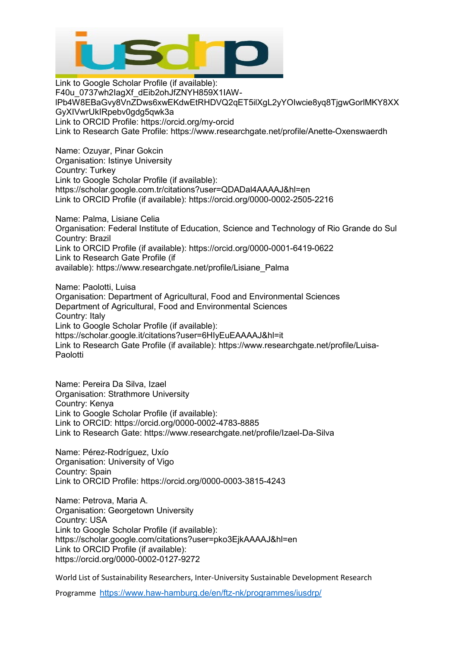

Link to Google Scholar Profile (if available): F40u\_0737wh2IagXf\_dEib2ohJfZNYH859X1IAWlPb4W8EBaGvy8VnZDws6xwEKdwEtRHDVQ2qET5ilXgL2yYOIwcie8yq8TjgwGorlMKY8XX GyXIVwrUkIRpebv0gdg5qwk3a Link to ORCID Profile: https://orcid.org/my-orcid Link to Research Gate Profile: https://www.researchgate.net/profile/Anette-Oxenswaerdh

Name: Ozuyar, Pinar Gokcin Organisation: Istinye University Country: Turkey Link to Google Scholar Profile (if available): https://scholar.google.com.tr/citations?user=QDADal4AAAAJ&hl=en Link to ORCID Profile (if available): https://orcid.org/0000-0002-2505-2216

Name: Palma, Lisiane Celia Organisation: Federal Institute of Education, Science and Technology of Rio Grande do Sul Country: Brazil Link to ORCID Profile (if available): https://orcid.org/0000-0001-6419-0622 Link to Research Gate Profile (if available): [https://www.researchgate.net/profile/Lisiane\\_Palma](https://www.researchgate.net/profile/Lisiane_Palma)

Name: Paolotti, Luisa Organisation: Department of Agricultural, Food and Environmental Sciences Department of Agricultural, Food and Environmental Sciences Country: Italy Link to Google Scholar Profile (if available): https://scholar.google.it/citations?user=6HIyEuEAAAAJ&hl=it Link to Research Gate Profile (if available): https://www.researchgate.net/profile/Luisa-Paolotti

Name: Pereira Da Silva, Izael Organisation: Strathmore University Country: Kenya Link to Google Scholar Profile (if available): Link to ORCID: https://orcid.org/0000-0002-4783-8885 Link to Research Gate: https://www.researchgate.net/profile/Izael-Da-Silva

Name: Pérez-Rodríguez, Uxío Organisation: University of Vigo Country: Spain Link to ORCID Profile: https://orcid.org/0000-0003-3815-4243

Name: Petrova, Maria A. Organisation: Georgetown University Country: USA Link to Google Scholar Profile (if available): https://scholar.google.com/citations?user=pko3EjkAAAAJ&hl=en Link to ORCID Profile (if available): https://orcid.org/0000-0002-0127-9272

World List of Sustainability Researchers, Inter-University Sustainable Development Research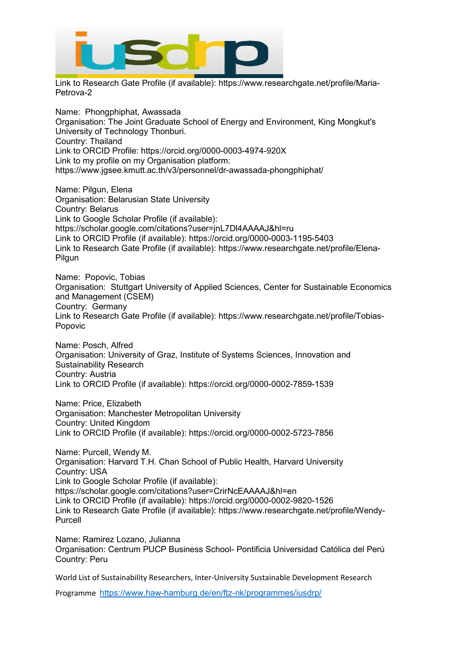

Link to Research Gate Profile (if available): https://www.researchgate.net/profile/Maria-Petrova-2

Name: Phongphiphat, Awassada Organisation: The Joint Graduate School of Energy and Environment, King Mongkut's University of Technology Thonburi. Country: Thailand Link to ORCID Profile: https://orcid.org/0000-0003-4974-920X Link to my profile on my Organisation platform: https://www.jgsee.kmutt.ac.th/v3/personnel/dr-awassada-phongphiphat/

Name: Pilgun, Elena Organisation: Belarusian State University Country: Belarus Link to Google Scholar Profile (if available): https://scholar.google.com/citations?user=jnL7Dl4AAAAJ&hl=ru Link to ORCID Profile (if available): https://orcid.org/0000-0003-1195-5403 Link to Research Gate Profile (if available): https://www.researchgate.net/profile/Elena-Pilgun

Name: Popovic, Tobias Organisation: Stuttgart University of Applied Sciences, Center for Sustainable Economics and Management (CSEM) Country: Germany Link to Research Gate Profile (if available): https://www.researchgate.net/profile/Tobias-Popovic

Name: Posch, Alfred Organisation: University of Graz, Institute of Systems Sciences, Innovation and Sustainability Research Country: Austria Link to ORCID Profile (if available): https://orcid.org/0000-0002-7859-1539

Name: Price, Elizabeth Organisation: Manchester Metropolitan University Country: United Kingdom Link to ORCID Profile (if available): https://orcid.org/0000-0002-5723-7856

Name: Purcell, Wendy M. Organisation: Harvard T.H. Chan School of Public Health, Harvard University Country: USA Link to Google Scholar Profile (if available): https://scholar.google.com/citations?user=CrirNcEAAAAJ&hl=en Link to ORCID Profile (if available): https://orcid.org/0000-0002-9820-1526 Link to Research Gate Profile (if available): https://www.researchgate.net/profile/Wendy-Purcell

Name: Ramirez Lozano, Julianna Organisation: Centrum PUCP Business School- Pontificia Universidad Católica del Perú Country: Peru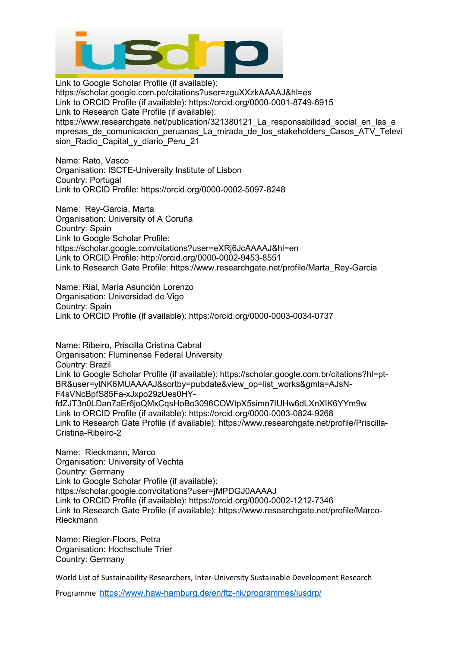

Link to Google Scholar Profile (if available): https://scholar.google.com.pe/citations?user=zguXXzkAAAAJ&hl=es Link to ORCID Profile (if available): https://orcid.org/0000-0001-8749-6915 Link to Research Gate Profile (if available): https://www.researchgate.net/publication/321380121 La responsabilidad social en las e mpresas de comunicacion peruanas La mirada de los stakeholders Casos ATV Televi sion Radio Capital y diario Peru 21

Name: Rato, Vasco Organisation: ISCTE-University Institute of Lisbon Country: Portugal Link to ORCID Profile: https://orcid.org/0000-0002-5097-8248

Name: Rey-Garcia, Marta Organisation: University of A Coruña Country: Spain Link to Google Scholar Profile: https://scholar.google.com/citations?user=eXRj6JcAAAAJ&hl=en Link to ORCID Profile: http://orcid.org/0000-0002-9453-8551 Link to Research Gate Profile: https://www.researchgate.net/profile/Marta\_Rey-Garcia

Name: Rial, María Asunción Lorenzo Organisation: Universidad de Vigo Country: Spain Link to ORCID Profile (if available): https://orcid.org/0000-0003-0034-0737

Name: Ribeiro, Priscilla Cristina Cabral Organisation: Fluminense Federal University Country: Brazil Link to Google Scholar Profile (if available): https://scholar.google.com.br/citations?hl=pt-BR&user=ytNK6MUAAAAJ&sortby=pubdate&view\_op=list\_works&gmla=AJsN-F4sVNcBpfS85Fa-xJxpo29zUes0HYfdZJT3n0LDan7aEr6joQMxCqsHoBo3096COWtpX5simn7IUHw6dLXnXIK6YYm9w Link to ORCID Profile (if available): https://orcid.org/0000-0003-0824-9268 Link to Research Gate Profile (if available): https://www.researchgate.net/profile/Priscilla-Cristina-Ribeiro-2

Name: Rieckmann, Marco Organisation: University of Vechta Country: Germany Link to Google Scholar Profile (if available): https://scholar.google.com/citations?user=jMPDGJ0AAAAJ Link to ORCID Profile (if available): https://orcid.org/0000-0002-1212-7346 Link to Research Gate Profile (if available): https://www.researchgate.net/profile/Marco-Rieckmann

Name: Riegler-Floors, Petra Organisation: Hochschule Trier Country: Germany

World List of Sustainability Researchers, Inter-University Sustainable Development Research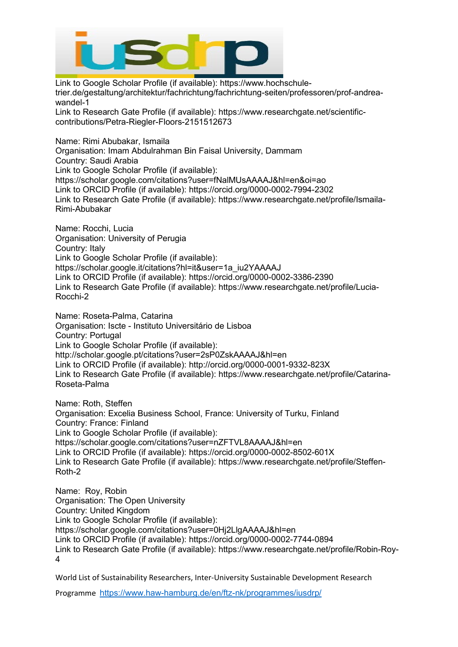

Link to Google Scholar Profile (if available): https://www.hochschuletrier.de/gestaltung/architektur/fachrichtung/fachrichtung-seiten/professoren/prof-andreawandel-1

Link to Research Gate Profile (if available): https://www.researchgate.net/scientificcontributions/Petra-Riegler-Floors-2151512673

Name: Rimi Abubakar, Ismaila

Organisation: Imam Abdulrahman Bin Faisal University, Dammam Country: Saudi Arabia Link to Google Scholar Profile (if available): https://scholar.google.com/citations?user=fNalMUsAAAAJ&hl=en&oi=ao Link to ORCID Profile (if available): https://orcid.org/0000-0002-7994-2302 Link to Research Gate Profile (if available): https://www.researchgate.net/profile/Ismaila-Rimi-Abubakar

Name: Rocchi, Lucia Organisation: University of Perugia Country: Italy Link to Google Scholar Profile (if available): https://scholar.google.it/citations?hl=it&user=1a\_iu2YAAAAJ Link to ORCID Profile (if available): https://orcid.org/0000-0002-3386-2390 Link to Research Gate Profile (if available): https://www.researchgate.net/profile/Lucia-Rocchi-2

Name: Roseta-Palma, Catarina Organisation: Iscte - Instituto Universitário de Lisboa Country: Portugal Link to Google Scholar Profile (if available): http://scholar.google.pt/citations?user=2sP0ZskAAAAJ&hl=en Link to ORCID Profile (if available): http://orcid.org/0000-0001-9332-823X Link to Research Gate Profile (if available): https://www.researchgate.net/profile/Catarina-Roseta-Palma

Name: Roth, Steffen Organisation: Excelia Business School, France: University of Turku, Finland Country: France: Finland Link to Google Scholar Profile (if available): https://scholar.google.com/citations?user=nZFTVL8AAAAJ&hl=en Link to ORCID Profile (if available): https://orcid.org/0000-0002-8502-601X Link to Research Gate Profile (if available): https://www.researchgate.net/profile/Steffen-Roth-2

Name: Roy, Robin Organisation: The Open University Country: United Kingdom Link to Google Scholar Profile (if available): https://scholar.google.com/citations?user=0Hj2LlgAAAAJ&hl=en Link to ORCID Profile (if available): https://orcid.org/0000-0002-7744-0894 Link to Research Gate Profile (if available): https://www.researchgate.net/profile/Robin-Roy-4

World List of Sustainability Researchers, Inter-University Sustainable Development Research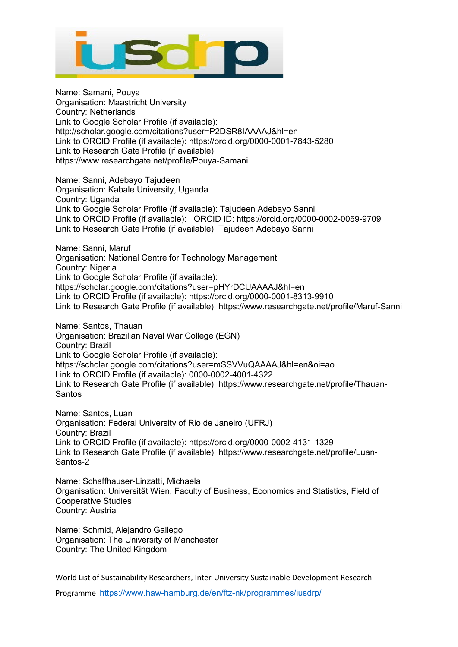

Name: Samani, Pouya Organisation: Maastricht University Country: Netherlands Link to Google Scholar Profile (if available): http://scholar.google.com/citations?user=P2DSR8IAAAAJ&hl=en Link to ORCID Profile (if available): https://orcid.org/0000-0001-7843-5280 Link to Research Gate Profile (if available): https://www.researchgate.net/profile/Pouya-Samani

Name: Sanni, Adebayo Tajudeen Organisation: Kabale University, Uganda Country: Uganda Link to Google Scholar Profile (if available): Tajudeen Adebayo Sanni Link to ORCID Profile (if available): ORCID ID: https://orcid.org/0000-0002-0059-9709 Link to Research Gate Profile (if available): Tajudeen Adebayo Sanni

Name: Sanni, Maruf Organisation: National Centre for Technology Management Country: Nigeria Link to Google Scholar Profile (if available): https://scholar.google.com/citations?user=pHYrDCUAAAAJ&hl=en Link to ORCID Profile (if available): https://orcid.org/0000-0001-8313-9910 Link to Research Gate Profile (if available): https://www.researchgate.net/profile/Maruf-Sanni

Name: Santos, Thauan Organisation: Brazilian Naval War College (EGN) Country: Brazil Link to Google Scholar Profile (if available): https://scholar.google.com/citations?user=mSSVVuQAAAAJ&hl=en&oi=ao Link to ORCID Profile (if available): 0000-0002-4001-4322 Link to Research Gate Profile (if available): https://www.researchgate.net/profile/Thauan-Santos

Name: Santos, Luan Organisation: Federal University of Rio de Janeiro (UFRJ) Country: Brazil Link to ORCID Profile (if available): https://orcid.org/0000-0002-4131-1329 Link to Research Gate Profile (if available): [https://www.researchgate.net/profile/Luan-](https://www.researchgate.net/profile/Luan-Santos-2)[Santos-2](https://www.researchgate.net/profile/Luan-Santos-2)

Name: Schaffhauser-Linzatti, Michaela Organisation: Universität Wien, Faculty of Business, Economics and Statistics, Field of Cooperative Studies Country: Austria

Name: Schmid, Alejandro Gallego Organisation: The University of Manchester Country: The United Kingdom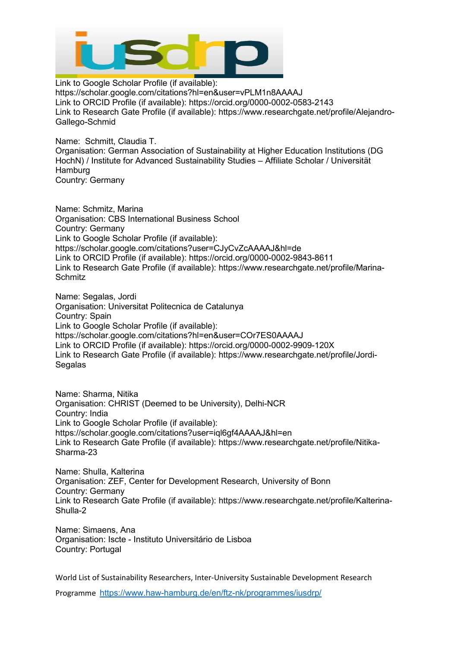

Link to Google Scholar Profile (if available): https://scholar.google.com/citations?hl=en&user=vPLM1n8AAAAJ Link to ORCID Profile (if available): https://orcid.org/0000-0002-0583-2143 Link to Research Gate Profile (if available): [https://www.researchgate.net/profile/Alejandro-](https://www.researchgate.net/profile/Alejandro-Gallego-Schmid)[Gallego-Schmid](https://www.researchgate.net/profile/Alejandro-Gallego-Schmid)

Name: Schmitt, Claudia T. Organisation: German Association of Sustainability at Higher Education Institutions (DG HochN) / Institute for Advanced Sustainability Studies – Affiliate Scholar / Universität **Hamburg** Country: Germany

Name: Schmitz, Marina Organisation: CBS International Business School Country: Germany Link to Google Scholar Profile (if available): https://scholar.google.com/citations?user=CJyCvZcAAAAJ&hl=de Link to ORCID Profile (if available): https://orcid.org/0000-0002-9843-8611 Link to Research Gate Profile (if available): https://www.researchgate.net/profile/Marina-**Schmitz** 

Name: Segalas, Jordi Organisation: Universitat Politecnica de Catalunya Country: Spain Link to Google Scholar Profile (if available): https://scholar.google.com/citations?hl=en&user=COr7ES0AAAAJ Link to ORCID Profile (if available): https://orcid.org/0000-0002-9909-120X Link to Research Gate Profile (if available): https://www.researchgate.net/profile/Jordi-Segalas

Name: Sharma, Nitika Organisation: CHRIST (Deemed to be University), Delhi-NCR Country: India Link to Google Scholar Profile (if available): https://scholar.google.com/citations?user=iql6gf4AAAAJ&hl=en Link to Research Gate Profile (if available): https://www.researchgate.net/profile/Nitika-Sharma-23

Name: Shulla, Kalterina Organisation: ZEF, Center for Development Research, University of Bonn Country: Germany Link to Research Gate Profile (if available): https://www.researchgate.net/profile/Kalterina-Shulla-2

Name: Simaens, Ana Organisation: Iscte - Instituto Universitário de Lisboa Country: Portugal

World List of Sustainability Researchers, Inter-University Sustainable Development Research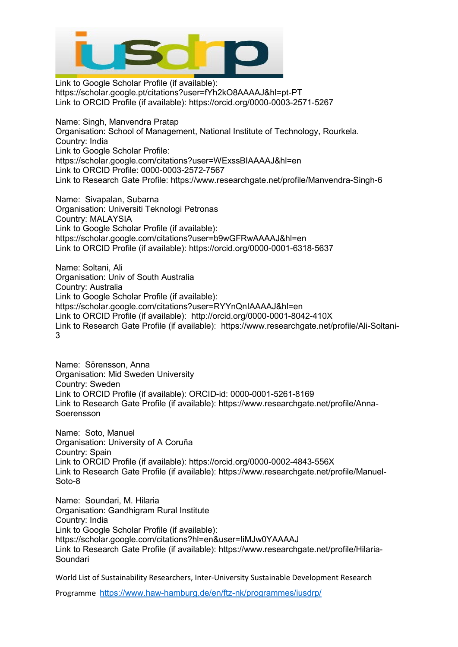

Link to Google Scholar Profile (if available): https://scholar.google.pt/citations?user=fYh2kO8AAAAJ&hl=pt-PT Link to ORCID Profile (if available): https://orcid.org/0000-0003-2571-5267

Name: Singh, Manvendra Pratap Organisation: School of Management, National Institute of Technology, Rourkela. Country: India Link to Google Scholar Profile: https://scholar.google.com/citations?user=WExssBIAAAAJ&hl=en Link to ORCID Profile: 0000-0003-2572-7567 Link to Research Gate Profile: https://www.researchgate.net/profile/Manvendra-Singh-6

Name: Sivapalan, Subarna Organisation: Universiti Teknologi Petronas Country: MALAYSIA Link to Google Scholar Profile (if available): https://scholar.google.com/citations?user=b9wGFRwAAAAJ&hl=en Link to ORCID Profile (if available): https://orcid.org/0000-0001-6318-5637

Name: Soltani, Ali Organisation: Univ of South Australia Country: Australia Link to Google Scholar Profile (if available): https://scholar.google.com/citations?user=RYYnQnIAAAAJ&hl=en Link to ORCID Profile (if available): http://orcid.org/0000-0001-8042-410X Link to Research Gate Profile (if available): https://www.researchgate.net/profile/Ali-Soltani-3

Name: Sörensson, Anna Organisation: Mid Sweden University Country: Sweden Link to ORCID Profile (if available): ORCID-id: 0000-0001-5261-8169 Link to Research Gate Profile (if available): https://www.researchgate.net/profile/Anna-Soerensson

Name: Soto, Manuel Organisation: University of A Coruña Country: Spain Link to ORCID Profile (if available): https://orcid.org/0000-0002-4843-556X Link to Research Gate Profile (if available): https://www.researchgate.net/profile/Manuel-Soto-8

Name: Soundari, M. Hilaria Organisation: Gandhigram Rural Institute Country: India Link to Google Scholar Profile (if available): https://scholar.google.com/citations?hl=en&user=IiMJw0YAAAAJ Link to Research Gate Profile (if available): https://www.researchgate.net/profile/Hilaria-Soundari

World List of Sustainability Researchers, Inter-University Sustainable Development Research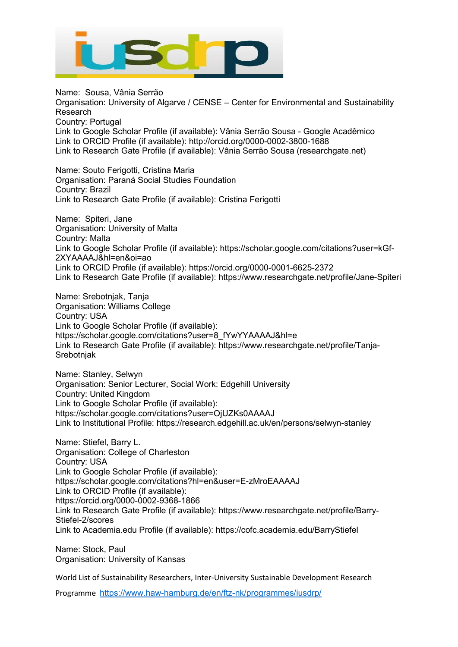

Name: Sousa, Vânia Serrão Organisation: University of Algarve / CENSE – Center for Environmental and Sustainability Research Country: Portugal Link to Google Scholar Profile (if available): Vânia Serrão Sousa - Google Acadêmico Link to ORCID Profile (if available): http://orcid.org/0000-0002-3800-1688 Link to Research Gate Profile (if available): Vânia Serrão Sousa (researchgate.net)

Name: Souto Ferigotti, Cristina Maria Organisation: Paraná Social Studies Foundation Country: Brazil Link to Research Gate Profile (if available): Cristina Ferigotti

Name: Spiteri, Jane Organisation: University of Malta Country: Malta Link to Google Scholar Profile (if available): https://scholar.google.com/citations?user=kGf-2XYAAAAJ&hl=en&oi=ao Link to ORCID Profile (if available): https://orcid.org/0000-0001-6625-2372 Link to Research Gate Profile (if available): https://www.researchgate.net/profile/Jane-Spiteri

Name: Srebotnjak, Tanja Organisation: Williams College Country: USA Link to Google Scholar Profile (if available): https://scholar.google.com/citations?user=8\_fYwYYAAAAJ&hl=e Link to Research Gate Profile (if available): https://www.researchgate.net/profile/Tanja-Srebotnjak

Name: Stanley, Selwyn Organisation: Senior Lecturer, Social Work: Edgehill University Country: United Kingdom Link to Google Scholar Profile (if available): https://scholar.google.com/citations?user=OjUZKs0AAAAJ Link to Institutional Profile: https://research.edgehill.ac.uk/en/persons/selwyn-stanley

Name: Stiefel, Barry L. Organisation: College of Charleston Country: USA Link to Google Scholar Profile (if available): https://scholar.google.com/citations?hl=en&user=E-zMroEAAAAJ Link to ORCID Profile (if available): https://orcid.org/0000-0002-9368-1866 Link to Research Gate Profile (if available): https://www.researchgate.net/profile/Barry-Stiefel-2/scores Link to Academia.edu Profile (if available): https://cofc.academia.edu/BarryStiefel

Name: Stock, Paul Organisation: University of Kansas

World List of Sustainability Researchers, Inter-University Sustainable Development Research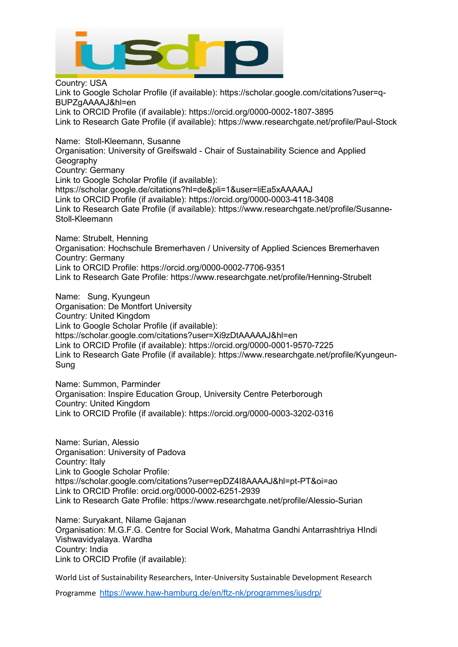

Country: USA Link to Google Scholar Profile (if available): https://scholar.google.com/citations?user=q-BUPZgAAAAJ&hl=en Link to ORCID Profile (if available): https://orcid.org/0000-0002-1807-3895 Link to Research Gate Profile (if available): https://www.researchgate.net/profile/Paul-Stock

Name: Stoll-Kleemann, Susanne Organisation: University of Greifswald - Chair of Sustainability Science and Applied Geography Country: Germany Link to Google Scholar Profile (if available): https://scholar.google.de/citations?hl=de&pli=1&user=liEa5xAAAAAJ Link to ORCID Profile (if available): https://orcid.org/0000-0003-4118-3408 Link to Research Gate Profile (if available): https://www.researchgate.net/profile/Susanne-Stoll-Kleemann

Name: Strubelt, Henning Organisation: Hochschule Bremerhaven / University of Applied Sciences Bremerhaven Country: Germany Link to ORCID Profile: https://orcid.org/0000-0002-7706-9351 Link to Research Gate Profile: https://www.researchgate.net/profile/Henning-Strubelt

Name: Sung, Kyungeun Organisation: De Montfort University Country: United Kingdom Link to Google Scholar Profile (if available): https://scholar.google.com/citations?user=Xi9zDtAAAAAJ&hl=en Link to ORCID Profile (if available): https://orcid.org/0000-0001-9570-7225 Link to Research Gate Profile (if available): https://www.researchgate.net/profile/Kyungeun-Sung

Name: Summon, Parminder Organisation: Inspire Education Group, University Centre Peterborough Country: United Kingdom Link to ORCID Profile (if available): https://orcid.org/0000-0003-3202-0316

Name: Surian, Alessio Organisation: University of Padova Country: Italy Link to Google Scholar Profile: https://scholar.google.com/citations?user=epDZ4I8AAAAJ&hl=pt-PT&oi=ao Link to ORCID Profile: orcid.org/0000-0002-6251-2939 Link to Research Gate Profile: https://www.researchgate.net/profile/Alessio-Surian

Name: Suryakant, Nilame Gajanan Organisation: M.G.F.G. Centre for Social Work, Mahatma Gandhi Antarrashtriya HIndi Vishwavidyalaya. Wardha Country: India Link to ORCID Profile (if available):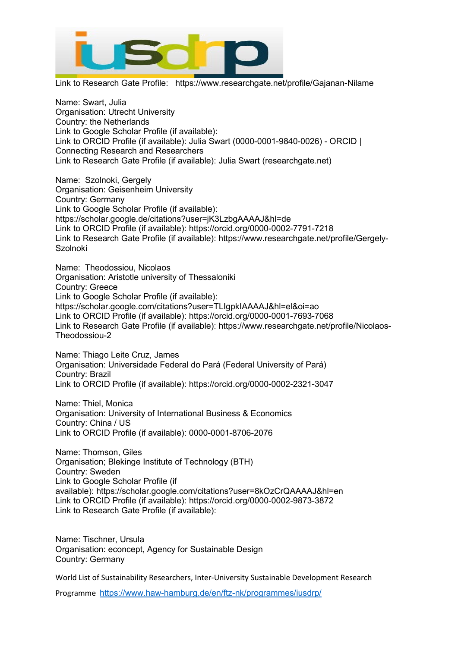

Link to Research Gate Profile: https://www.researchgate.net/profile/Gajanan-Nilame

Name: Swart, Julia Organisation: Utrecht University Country: the Netherlands Link to Google Scholar Profile (if available): Link to ORCID Profile (if available): Julia Swart (0000-0001-9840-0026) - ORCID | Connecting Research and Researchers Link to Research Gate Profile (if available): Julia Swart (researchgate.net)

Name: Szolnoki, Gergely Organisation: Geisenheim University Country: Germany Link to Google Scholar Profile (if available): https://scholar.google.de/citations?user=jK3LzbgAAAAJ&hl=de Link to ORCID Profile (if available): https://orcid.org/0000-0002-7791-7218 Link to Research Gate Profile (if available): https://www.researchgate.net/profile/Gergely-**Szolnoki** 

Name: Theodossiou, Nicolaos Organisation: Aristotle university of Thessaloniki Country: Greece Link to Google Scholar Profile (if available): https://scholar.google.com/citations?user=TLIgpkIAAAAJ&hl=el&oi=ao Link to ORCID Profile (if available): https://orcid.org/0000-0001-7693-7068 Link to Research Gate Profile (if available): https://www.researchgate.net/profile/Nicolaos-Theodossiou-2

Name: Thiago Leite Cruz, James Organisation: Universidade Federal do Pará (Federal University of Pará) Country: Brazil Link to ORCID Profile (if available): https://orcid.org/0000-0002-2321-3047

Name: Thiel, Monica Organisation: University of International Business & Economics Country: China / US Link to ORCID Profile (if available): 0000-0001-8706-2076

Name: Thomson, Giles Organisation; Blekinge Institute of Technology (BTH) Country: Sweden Link to Google Scholar Profile (if available): <https://scholar.google.com/citations?user=8kOzCrQAAAAJ&hl=en> Link to ORCID Profile (if available): <https://orcid.org/0000-0002-9873-3872> Link to Research Gate Profile (if available):

Name: Tischner, Ursula Organisation: econcept, Agency for Sustainable Design Country: Germany

World List of Sustainability Researchers, Inter-University Sustainable Development Research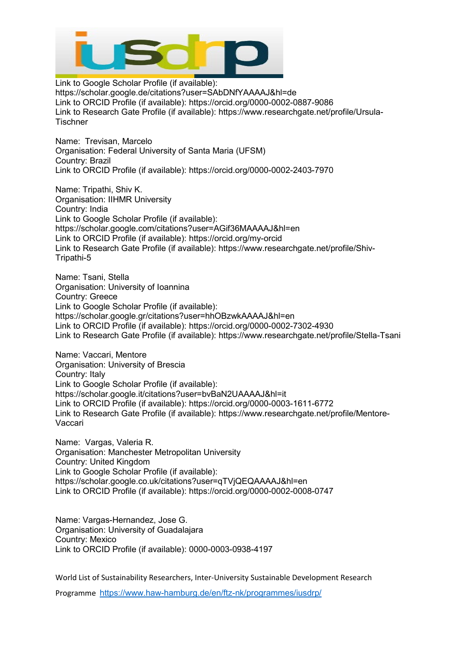

Link to Google Scholar Profile (if available): https://scholar.google.de/citations?user=SAbDNfYAAAAJ&hl=de Link to ORCID Profile (if available): https://orcid.org/0000-0002-0887-9086 Link to Research Gate Profile (if available): https://www.researchgate.net/profile/Ursula-**Tischner** 

Name: Trevisan, Marcelo Organisation: Federal University of Santa Maria (UFSM) Country: Brazil Link to ORCID Profile (if available): https://orcid.org/0000-0002-2403-7970

Name: Tripathi, Shiv K. Organisation: IIHMR University Country: India Link to Google Scholar Profile (if available): https://scholar.google.com/citations?user=AGif36MAAAAJ&hl=en Link to ORCID Profile (if available): https://orcid.org/my-orcid Link to Research Gate Profile (if available): https://www.researchgate.net/profile/Shiv-Tripathi-5

Name: Tsani, Stella Organisation: University of Ioannina Country: Greece Link to Google Scholar Profile (if available): https://scholar.google.gr/citations?user=hhOBzwkAAAAJ&hl=en Link to ORCID Profile (if available): https://orcid.org/0000-0002-7302-4930 Link to Research Gate Profile (if available): https://www.researchgate.net/profile/Stella-Tsani

Name: Vaccari, Mentore Organisation: University of Brescia Country: Italy Link to Google Scholar Profile (if available): https://scholar.google.it/citations?user=bvBaN2UAAAAJ&hl=it Link to ORCID Profile (if available): https://orcid.org/0000-0003-1611-6772 Link to Research Gate Profile (if available): https://www.researchgate.net/profile/Mentore-Vaccari

Name: Vargas, Valeria R. Organisation: Manchester Metropolitan University Country: United Kingdom Link to Google Scholar Profile (if available): https://scholar.google.co.uk/citations?user=qTVjQEQAAAAJ&hl=en Link to ORCID Profile (if available): https://orcid.org/0000-0002-0008-0747

Name: Vargas-Hernandez, Jose G. Organisation: University of Guadalajara Country: Mexico Link to ORCID Profile (if available): 0000-0003-0938-4197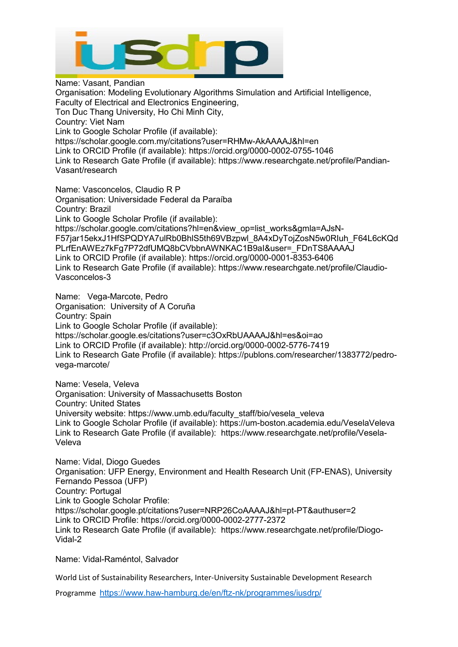

Name: Vasant, Pandian Organisation: Modeling Evolutionary Algorithms Simulation and Artificial Intelligence, Faculty of Electrical and Electronics Engineering, Ton Duc Thang University, Ho Chi Minh City, Country: Viet Nam Link to Google Scholar Profile (if available): https://scholar.google.com.my/citations?user=RHMw-AkAAAAJ&hl=en Link to ORCID Profile (if available): https://orcid.org/0000-0002-0755-1046 Link to Research Gate Profile (if available): https://www.researchgate.net/profile/Pandian-Vasant/research

Name: Vasconcelos, Claudio R P Organisation: Universidade Federal da Paraíba Country: Brazil Link to Google Scholar Profile (if available): https://scholar.google.com/citations?hl=en&view\_op=list\_works&gmla=AJsN-F57jar15ekxJ1HfSPQDYA7ulRb0BhlS5th69VBzpwl\_8A4xDyTojZosN5w0RIuh\_F64L6cKQd PLrfEnAWEz7kFg7P72dfUMQ8bCVbbnAWNKAC1B9aI&user=\_FDnTS8AAAAJ Link to ORCID Profile (if available): https://orcid.org/0000-0001-8353-6406 Link to Research Gate Profile (if available): https://www.researchgate.net/profile/Claudio-Vasconcelos-3

Name: Vega-Marcote, Pedro Organisation: University of A Coruña Country: Spain Link to Google Scholar Profile (if available): https://scholar.google.es/citations?user=c3OxRbUAAAAJ&hl=es&oi=ao Link to ORCID Profile (if available):<http://orcid.org/0000-0002-5776-7419> Link to Research Gate Profile (if available): https://publons.com/researcher/1383772/pedrovega-marcote/

Name: Vesela, Veleva Organisation: University of Massachusetts Boston Country: United States University website: https://www.umb.edu/faculty\_staff/bio/vesela\_veleva Link to Google Scholar Profile (if available): https://um-boston.academia.edu/VeselaVeleva Link to Research Gate Profile (if available): https://www.researchgate.net/profile/Vesela-Veleva

Name: Vidal, Diogo Guedes Organisation: UFP Energy, Environment and Health Research Unit (FP-ENAS), University Fernando Pessoa (UFP) Country: Portugal Link to Google Scholar Profile: https://scholar.google.pt/citations?user=NRP26CoAAAAJ&hl=pt-PT&authuser=2 Link to ORCID Profile: https://orcid.org/0000-0002-2777-2372 Link to Research Gate Profile (if available): https://www.researchgate.net/profile/Diogo-Vidal-2

Name: Vidal-Raméntol, Salvador

World List of Sustainability Researchers, Inter-University Sustainable Development Research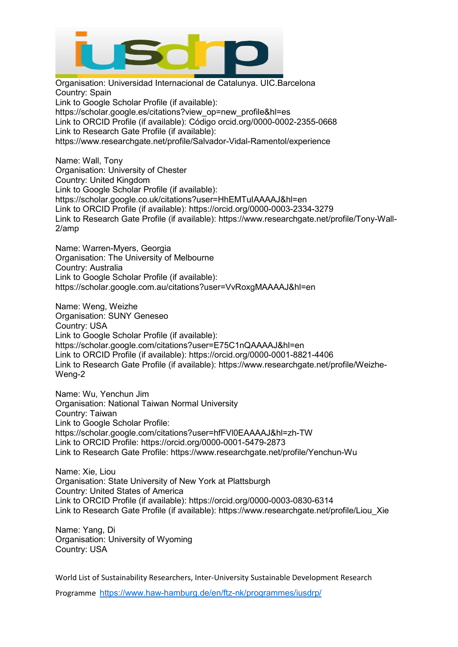

Organisation: Universidad Internacional de Catalunya. UIC.Barcelona Country: Spain Link to Google Scholar Profile (if available): https://scholar.google.es/citations?view\_op=new\_profile&hl=es Link to ORCID Profile (if available): Código orcid.org/0000-0002-2355-0668 Link to Research Gate Profile (if available): https://www.researchgate.net/profile/Salvador-Vidal-Ramentol/experience

Name: Wall, Tony Organisation: University of Chester Country: United Kingdom Link to Google Scholar Profile (if available): https://scholar.google.co.uk/citations?user=HhEMTuIAAAAJ&hl=en Link to ORCID Profile (if available): https://orcid.org/0000-0003-2334-3279 Link to Research Gate Profile (if available): https://www.researchgate.net/profile/Tony-Wall-2/amp

Name: Warren-Myers, Georgia Organisation: The University of Melbourne Country: Australia Link to Google Scholar Profile (if available): https://scholar.google.com.au/citations?user=VvRoxgMAAAAJ&hl=en

Name: Weng, Weizhe Organisation: SUNY Geneseo Country: USA Link to Google Scholar Profile (if available): https://scholar.google.com/citations?user=E75C1nQAAAAJ&hl=en Link to ORCID Profile (if available): https://orcid.org/0000-0001-8821-4406 Link to Research Gate Profile (if available): https://www.researchgate.net/profile/Weizhe-Weng-2

Name: Wu, Yenchun Jim Organisation: National Taiwan Normal University Country: Taiwan Link to Google Scholar Profile: https://scholar.google.com/citations?user=hfFVl0EAAAAJ&hl=zh-TW Link to ORCID Profile: https://orcid.org/0000-0001-5479-2873 Link to Research Gate Profile: https://www.researchgate.net/profile/Yenchun-Wu

Name: Xie, Liou Organisation: State University of New York at Plattsburgh Country: United States of America Link to ORCID Profile (if available): https://orcid.org/0000-0003-0830-6314 Link to Research Gate Profile (if available): https://www.researchgate.net/profile/Liou\_Xie

Name: Yang, Di Organisation: University of Wyoming Country: USA